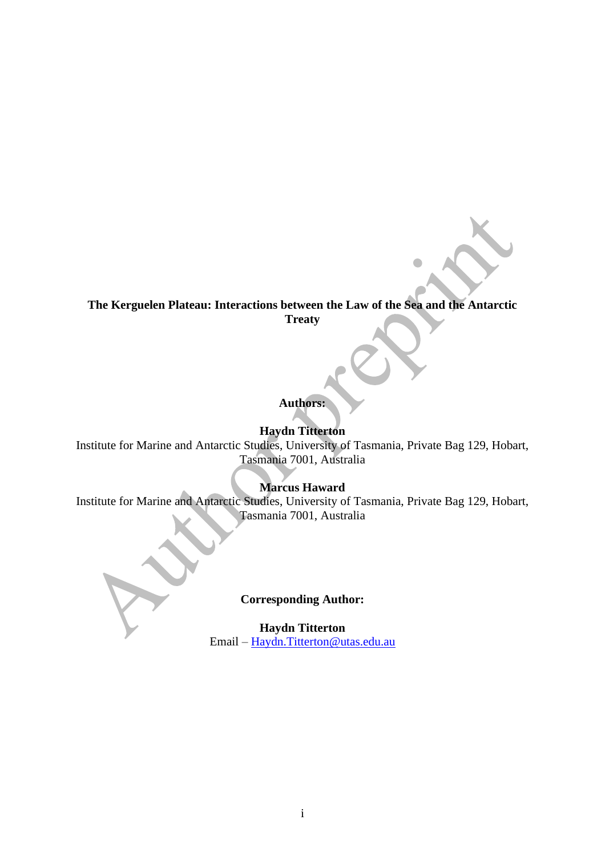# **The Kerguelen Plateau: Interactions between the Law of the Sea and the Antarctic Treaty**

# **Authors:**

# **Haydn Titterton**

Institute for Marine and Antarctic Studies, University of Tasmania, Private Bag 129, Hobart, Tasmania 7001, Australia

# **Marcus Haward**

Institute for Marine and Antarctic Studies, University of Tasmania, Private Bag 129, Hobart, Tasmania 7001, Australia

### **Corresponding Author:**

**Haydn Titterton** Email – [Haydn.Titterton@utas.edu.au](mailto:Haydn.Titterton@utas.edu.au)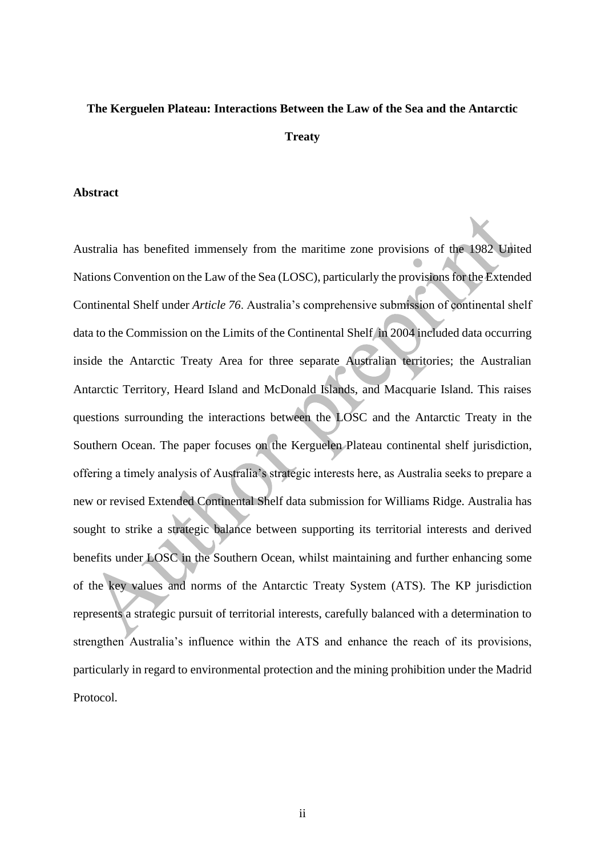# **The Kerguelen Plateau: Interactions Between the Law of the Sea and the Antarctic**

#### **Treaty**

#### **Abstract**

Australia has benefited immensely from the maritime zone provisions of the 1982 United Nations Convention on the Law of the Sea (LOSC), particularly the provisions for the Extended Continental Shelf under *Article 76*. Australia's comprehensive submission of continental shelf data to the Commission on the Limits of the Continental Shelf in 2004 included data occurring inside the Antarctic Treaty Area for three separate Australian territories; the Australian Antarctic Territory, Heard Island and McDonald Islands, and Macquarie Island. This raises questions surrounding the interactions between the LOSC and the Antarctic Treaty in the Southern Ocean. The paper focuses on the Kerguelen Plateau continental shelf jurisdiction, offering a timely analysis of Australia's strategic interests here, as Australia seeks to prepare a new or revised Extended Continental Shelf data submission for Williams Ridge. Australia has sought to strike a strategic balance between supporting its territorial interests and derived benefits under LOSC in the Southern Ocean, whilst maintaining and further enhancing some of the key values and norms of the Antarctic Treaty System (ATS). The KP jurisdiction represents a strategic pursuit of territorial interests, carefully balanced with a determination to strengthen Australia's influence within the ATS and enhance the reach of its provisions, particularly in regard to environmental protection and the mining prohibition under the Madrid Protocol.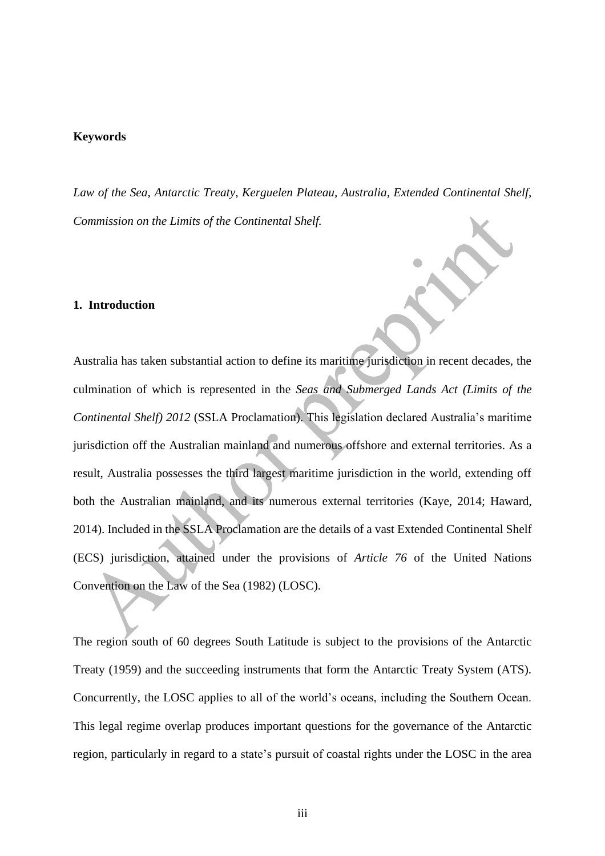#### **Keywords**

*Law of the Sea, Antarctic Treaty, Kerguelen Plateau, Australia, Extended Continental Shelf, Commission on the Limits of the Continental Shelf.*

#### **1. Introduction**

Australia has taken substantial action to define its maritime jurisdiction in recent decades, the culmination of which is represented in the *Seas and Submerged Lands Act (Limits of the Continental Shelf) 2012* (SSLA Proclamation). This legislation declared Australia's maritime jurisdiction off the Australian mainland and numerous offshore and external territories. As a result, Australia possesses the third largest maritime jurisdiction in the world, extending off both the Australian mainland, and its numerous external territories (Kaye, 2014; Haward, 2014). Included in the SSLA Proclamation are the details of a vast Extended Continental Shelf (ECS) jurisdiction, attained under the provisions of *Article 76* of the United Nations Convention on the Law of the Sea (1982) (LOSC).

The region south of 60 degrees South Latitude is subject to the provisions of the Antarctic Treaty (1959) and the succeeding instruments that form the Antarctic Treaty System (ATS). Concurrently, the LOSC applies to all of the world's oceans, including the Southern Ocean. This legal regime overlap produces important questions for the governance of the Antarctic region, particularly in regard to a state's pursuit of coastal rights under the LOSC in the area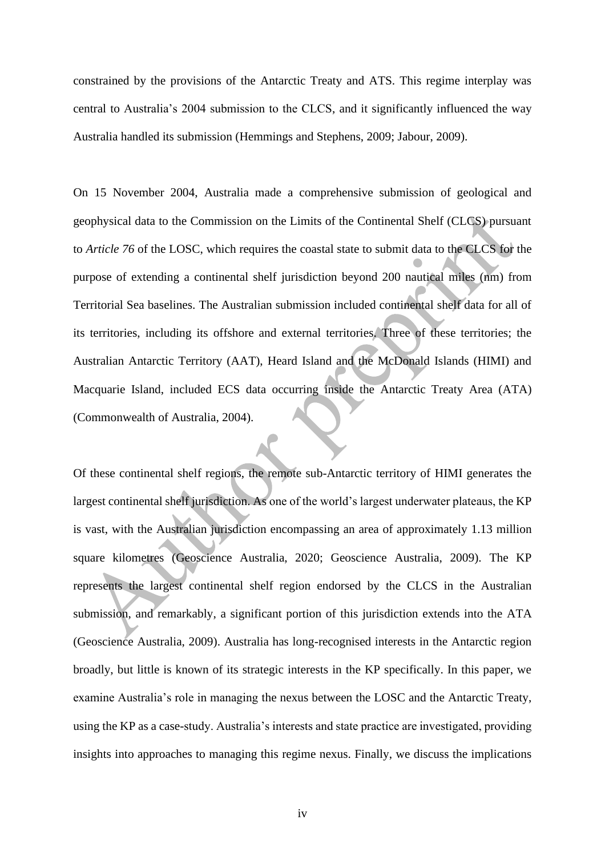constrained by the provisions of the Antarctic Treaty and ATS. This regime interplay was central to Australia's 2004 submission to the CLCS, and it significantly influenced the way Australia handled its submission (Hemmings and Stephens, 2009; Jabour, 2009).

On 15 November 2004, Australia made a comprehensive submission of geological and geophysical data to the Commission on the Limits of the Continental Shelf (CLCS) pursuant to *Article 76* of the LOSC, which requires the coastal state to submit data to the CLCS for the purpose of extending a continental shelf jurisdiction beyond 200 nautical miles (nm) from Territorial Sea baselines. The Australian submission included continental shelf data for all of its territories, including its offshore and external territories. Three of these territories; the Australian Antarctic Territory (AAT), Heard Island and the McDonald Islands (HIMI) and Macquarie Island, included ECS data occurring inside the Antarctic Treaty Area (ATA) (Commonwealth of Australia, 2004).

Of these continental shelf regions, the remote sub-Antarctic territory of HIMI generates the largest continental shelf jurisdiction. As one of the world's largest underwater plateaus, the KP is vast, with the Australian jurisdiction encompassing an area of approximately 1.13 million square kilometres (Geoscience Australia, 2020; Geoscience Australia, 2009). The KP represents the largest continental shelf region endorsed by the CLCS in the Australian submission, and remarkably, a significant portion of this jurisdiction extends into the ATA (Geoscience Australia, 2009). Australia has long-recognised interests in the Antarctic region broadly, but little is known of its strategic interests in the KP specifically. In this paper, we examine Australia's role in managing the nexus between the LOSC and the Antarctic Treaty, using the KP as a case-study. Australia's interests and state practice are investigated, providing insights into approaches to managing this regime nexus. Finally, we discuss the implications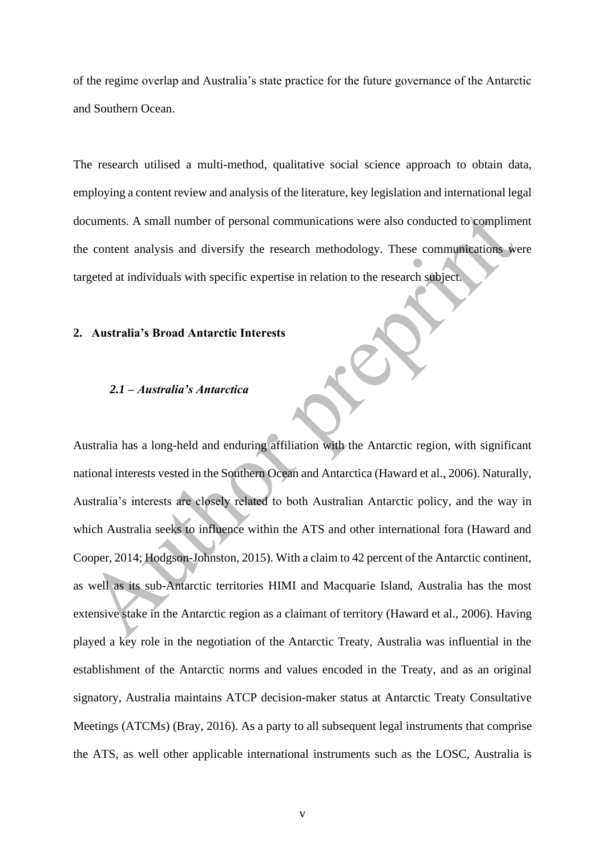of the regime overlap and Australia's state practice for the future governance of the Antarctic and Southern Ocean.

The research utilised a multi-method, qualitative social science approach to obtain data, employing a content review and analysis of the literature, key legislation and international legal documents. A small number of personal communications were also conducted to compliment the content analysis and diversify the research methodology. These communications were targeted at individuals with specific expertise in relation to the research subject.

#### **2. Australia's Broad Antarctic Interests**

### *2.1 – Australia's Antarctica*

Australia has a long-held and enduring affiliation with the Antarctic region, with significant national interests vested in the Southern Ocean and Antarctica (Haward et al., 2006). Naturally, Australia's interests are closely related to both Australian Antarctic policy, and the way in which Australia seeks to influence within the ATS and other international fora (Haward and Cooper, 2014; Hodgson-Johnston, 2015). With a claim to 42 percent of the Antarctic continent, as well as its sub-Antarctic territories HIMI and Macquarie Island, Australia has the most extensive stake in the Antarctic region as a claimant of territory (Haward et al., 2006). Having played a key role in the negotiation of the Antarctic Treaty, Australia was influential in the establishment of the Antarctic norms and values encoded in the Treaty, and as an original signatory, Australia maintains ATCP decision-maker status at Antarctic Treaty Consultative Meetings (ATCMs) (Bray, 2016). As a party to all subsequent legal instruments that comprise the ATS, as well other applicable international instruments such as the LOSC, Australia is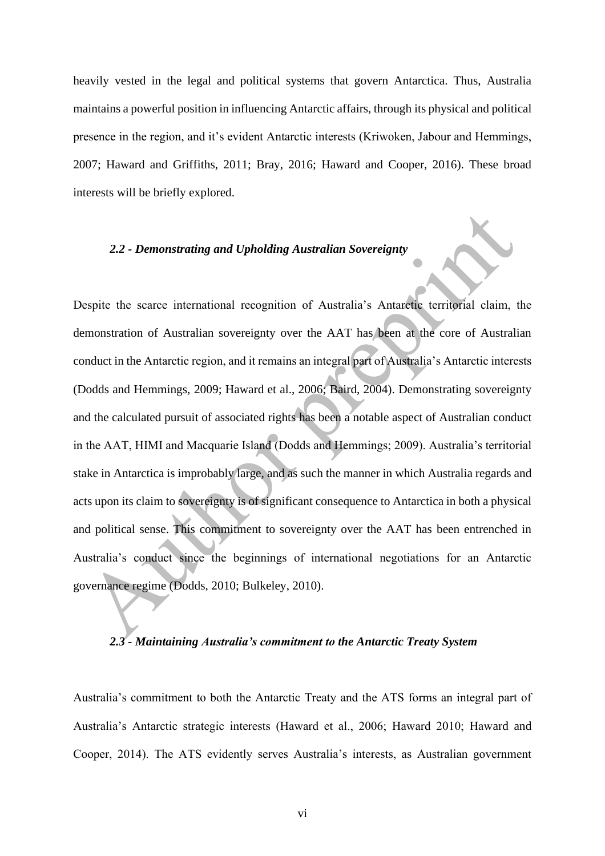heavily vested in the legal and political systems that govern Antarctica. Thus, Australia maintains a powerful position in influencing Antarctic affairs, through its physical and political presence in the region, and it's evident Antarctic interests (Kriwoken, Jabour and Hemmings, 2007; Haward and Griffiths, 2011; Bray, 2016; Haward and Cooper, 2016). These broad interests will be briefly explored.

### *2.2 - Demonstrating and Upholding Australian Sovereignty*

Despite the scarce international recognition of Australia's Antarctic territorial claim, the demonstration of Australian sovereignty over the AAT has been at the core of Australian conduct in the Antarctic region, and it remains an integral part of Australia's Antarctic interests (Dodds and Hemmings, 2009; Haward et al., 2006; Baird, 2004). Demonstrating sovereignty and the calculated pursuit of associated rights has been a notable aspect of Australian conduct in the AAT, HIMI and Macquarie Island (Dodds and Hemmings; 2009). Australia's territorial stake in Antarctica is improbably large, and as such the manner in which Australia regards and acts upon its claim to sovereignty is of significant consequence to Antarctica in both a physical and political sense. This commitment to sovereignty over the AAT has been entrenched in Australia's conduct since the beginnings of international negotiations for an Antarctic governance regime (Dodds, 2010; Bulkeley, 2010).

### *2.3 - Maintaining Australia's commitment to the Antarctic Treaty System*

Australia's commitment to both the Antarctic Treaty and the ATS forms an integral part of Australia's Antarctic strategic interests (Haward et al., 2006; Haward 2010; Haward and Cooper, 2014). The ATS evidently serves Australia's interests, as Australian government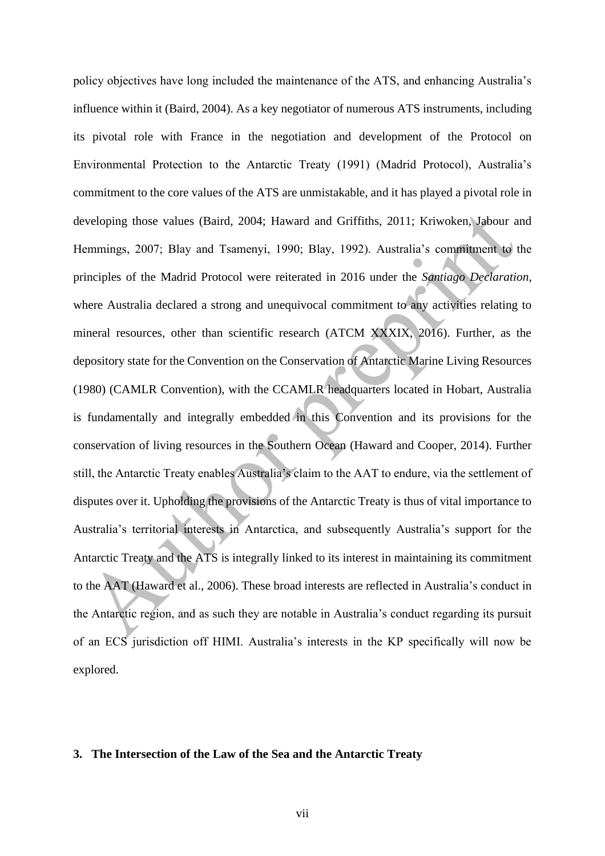policy objectives have long included the maintenance of the ATS, and enhancing Australia's influence within it (Baird, 2004). As a key negotiator of numerous ATS instruments, including its pivotal role with France in the negotiation and development of the Protocol on Environmental Protection to the Antarctic Treaty (1991) (Madrid Protocol), Australia's commitment to the core values of the ATS are unmistakable, and it has played a pivotal role in developing those values (Baird, 2004; Haward and Griffiths, 2011; Kriwoken, Jabour and Hemmings, 2007; Blay and Tsamenyi, 1990; Blay, 1992). Australia's commitment to the principles of the Madrid Protocol were reiterated in 2016 under the *Santiago Declaration*, where Australia declared a strong and unequivocal commitment to any activities relating to mineral resources, other than scientific research (ATCM XXXIX, 2016). Further, as the depository state for the Convention on the Conservation of Antarctic Marine Living Resources (1980) (CAMLR Convention), with the CCAMLR headquarters located in Hobart, Australia is fundamentally and integrally embedded in this Convention and its provisions for the conservation of living resources in the Southern Ocean (Haward and Cooper, 2014). Further still, the Antarctic Treaty enables Australia's claim to the AAT to endure, via the settlement of disputes over it. Upholding the provisions of the Antarctic Treaty is thus of vital importance to Australia's territorial interests in Antarctica, and subsequently Australia's support for the Antarctic Treaty and the ATS is integrally linked to its interest in maintaining its commitment to the AAT (Haward et al., 2006). These broad interests are reflected in Australia's conduct in the Antarctic region, and as such they are notable in Australia's conduct regarding its pursuit of an ECS jurisdiction off HIMI. Australia's interests in the KP specifically will now be explored.

### **3. The Intersection of the Law of the Sea and the Antarctic Treaty**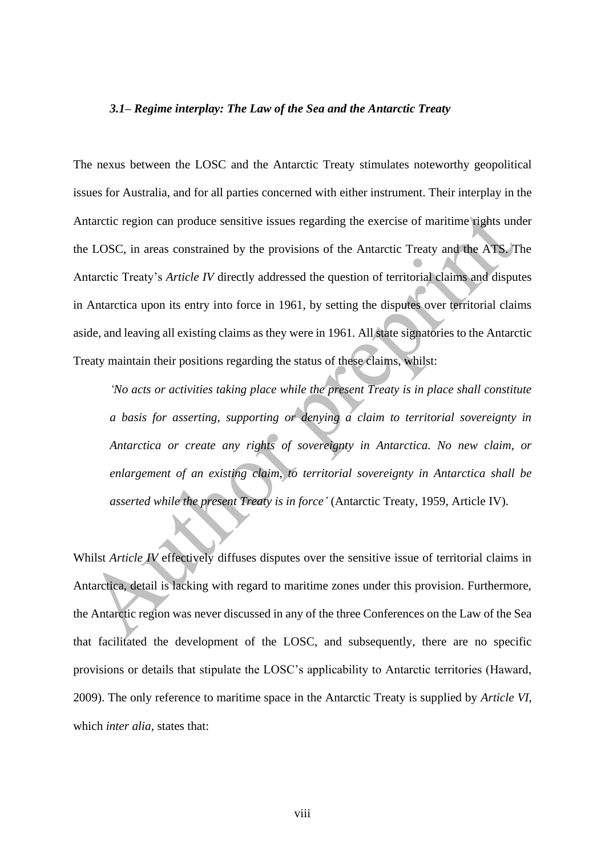#### *3.1– Regime interplay: The Law of the Sea and the Antarctic Treaty*

The nexus between the LOSC and the Antarctic Treaty stimulates noteworthy geopolitical issues for Australia, and for all parties concerned with either instrument. Their interplay in the Antarctic region can produce sensitive issues regarding the exercise of maritime rights under the LOSC, in areas constrained by the provisions of the Antarctic Treaty and the ATS. The Antarctic Treaty's *Article IV* directly addressed the question of territorial claims and disputes in Antarctica upon its entry into force in 1961, by setting the disputes over territorial claims aside, and leaving all existing claims as they were in 1961. All state signatories to the Antarctic Treaty maintain their positions regarding the status of these claims, whilst:

*'No acts or activities taking place while the present Treaty is in place shall constitute a basis for asserting, supporting or denying a claim to territorial sovereignty in Antarctica or create any rights of sovereignty in Antarctica. No new claim, or enlargement of an existing claim, to territorial sovereignty in Antarctica shall be asserted while the present Treaty is in force'* (Antarctic Treaty, 1959, Article IV).

Whilst *Article IV* effectively diffuses disputes over the sensitive issue of territorial claims in Antarctica, detail is lacking with regard to maritime zones under this provision. Furthermore, the Antarctic region was never discussed in any of the three Conferences on the Law of the Sea that facilitated the development of the LOSC, and subsequently, there are no specific provisions or details that stipulate the LOSC's applicability to Antarctic territories (Haward, 2009). The only reference to maritime space in the Antarctic Treaty is supplied by *Article VI,* which *inter alia*, states that: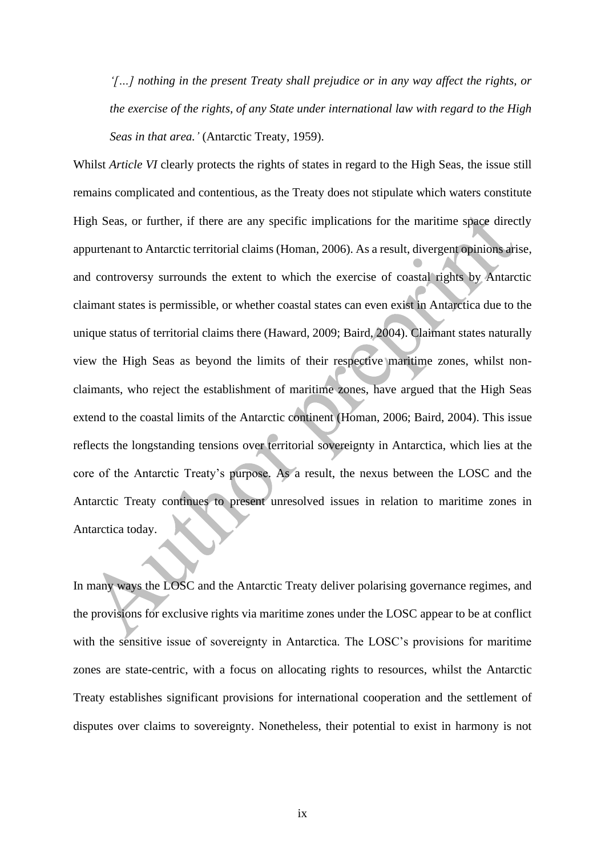*'[…] nothing in the present Treaty shall prejudice or in any way affect the rights, or the exercise of the rights, of any State under international law with regard to the High Seas in that area.'* (Antarctic Treaty, 1959).

Whilst *Article VI* clearly protects the rights of states in regard to the High Seas, the issue still remains complicated and contentious, as the Treaty does not stipulate which waters constitute High Seas, or further, if there are any specific implications for the maritime space directly appurtenant to Antarctic territorial claims (Homan, 2006). As a result, divergent opinions arise, and controversy surrounds the extent to which the exercise of coastal rights by Antarctic claimant states is permissible, or whether coastal states can even exist in Antarctica due to the unique status of territorial claims there (Haward, 2009; Baird, 2004). Claimant states naturally view the High Seas as beyond the limits of their respective maritime zones, whilst nonclaimants, who reject the establishment of maritime zones, have argued that the High Seas extend to the coastal limits of the Antarctic continent (Homan, 2006; Baird, 2004). This issue reflects the longstanding tensions over territorial sovereignty in Antarctica, which lies at the core of the Antarctic Treaty's purpose. As a result, the nexus between the LOSC and the Antarctic Treaty continues to present unresolved issues in relation to maritime zones in Antarctica today.

In many ways the LOSC and the Antarctic Treaty deliver polarising governance regimes, and the provisions for exclusive rights via maritime zones under the LOSC appear to be at conflict with the sensitive issue of sovereignty in Antarctica. The LOSC's provisions for maritime zones are state-centric, with a focus on allocating rights to resources, whilst the Antarctic Treaty establishes significant provisions for international cooperation and the settlement of disputes over claims to sovereignty. Nonetheless, their potential to exist in harmony is not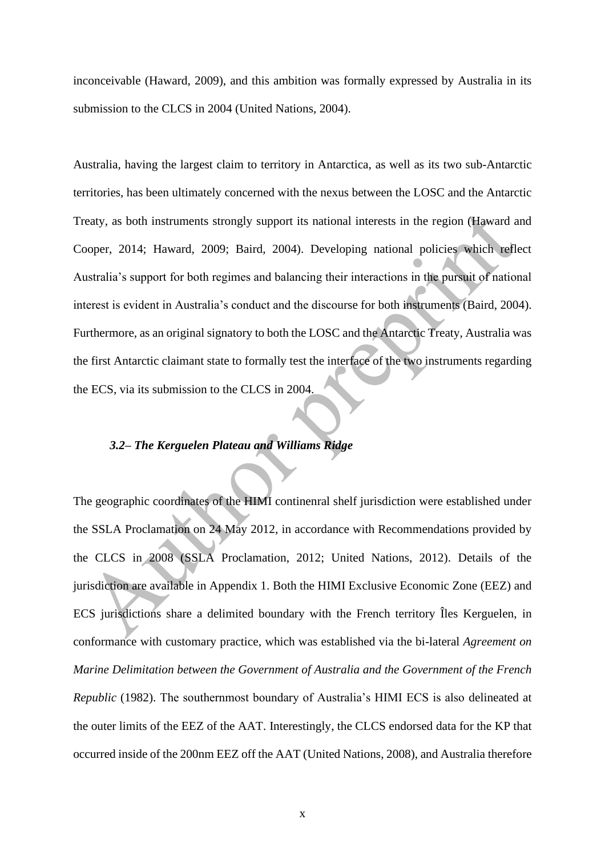inconceivable (Haward, 2009), and this ambition was formally expressed by Australia in its submission to the CLCS in 2004 (United Nations, 2004).

Australia, having the largest claim to territory in Antarctica, as well as its two sub-Antarctic territories, has been ultimately concerned with the nexus between the LOSC and the Antarctic Treaty, as both instruments strongly support its national interests in the region (Haward and Cooper, 2014; Haward, 2009; Baird, 2004). Developing national policies which reflect Australia's support for both regimes and balancing their interactions in the pursuit of national interest is evident in Australia's conduct and the discourse for both instruments (Baird, 2004). Furthermore, as an original signatory to both the LOSC and the Antarctic Treaty, Australia was the first Antarctic claimant state to formally test the interface of the two instruments regarding the ECS, via its submission to the CLCS in 2004.

# *3.2– The Kerguelen Plateau and Williams Ridge*

The geographic coordinates of the HIMI continenral shelf jurisdiction were established under the SSLA Proclamation on 24 May 2012, in accordance with Recommendations provided by the CLCS in 2008 (SSLA Proclamation, 2012; United Nations, 2012). Details of the jurisdiction are available in Appendix 1. Both the HIMI Exclusive Economic Zone (EEZ) and ECS jurisdictions share a delimited boundary with the French territory Îles Kerguelen, in conformance with customary practice, which was established via the bi-lateral *Agreement on Marine Delimitation between the Government of Australia and the Government of the French Republic* (1982). The southernmost boundary of Australia's HIMI ECS is also delineated at the outer limits of the EEZ of the AAT. Interestingly, the CLCS endorsed data for the KP that occurred inside of the 200nm EEZ off the AAT (United Nations, 2008), and Australia therefore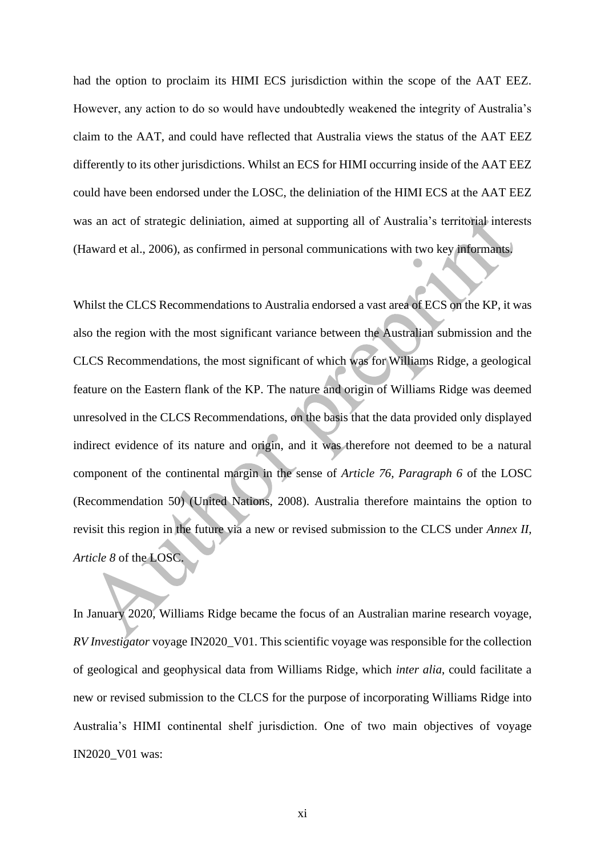had the option to proclaim its HIMI ECS jurisdiction within the scope of the AAT EEZ. However, any action to do so would have undoubtedly weakened the integrity of Australia's claim to the AAT, and could have reflected that Australia views the status of the AAT EEZ differently to its other jurisdictions. Whilst an ECS for HIMI occurring inside of the AAT EEZ could have been endorsed under the LOSC, the deliniation of the HIMI ECS at the AAT EEZ was an act of strategic deliniation, aimed at supporting all of Australia's territorial interests (Haward et al., 2006), as confirmed in personal communications with two key informants.

Whilst the CLCS Recommendations to Australia endorsed a vast area of ECS on the KP, it was also the region with the most significant variance between the Australian submission and the CLCS Recommendations, the most significant of which was for Williams Ridge, a geological feature on the Eastern flank of the KP. The nature and origin of Williams Ridge was deemed unresolved in the CLCS Recommendations, on the basis that the data provided only displayed indirect evidence of its nature and origin, and it was therefore not deemed to be a natural component of the continental margin in the sense of *Article 76, Paragraph 6* of the LOSC (Recommendation 50) (United Nations, 2008). Australia therefore maintains the option to revisit this region in the future via a new or revised submission to the CLCS under *Annex II, Article 8* of the LOSC.

In January 2020, Williams Ridge became the focus of an Australian marine research voyage, *RV Investigator* voyage IN2020\_V01. This scientific voyage was responsible for the collection of geological and geophysical data from Williams Ridge, which *inter alia*, could facilitate a new or revised submission to the CLCS for the purpose of incorporating Williams Ridge into Australia's HIMI continental shelf jurisdiction. One of two main objectives of voyage IN2020\_V01 was: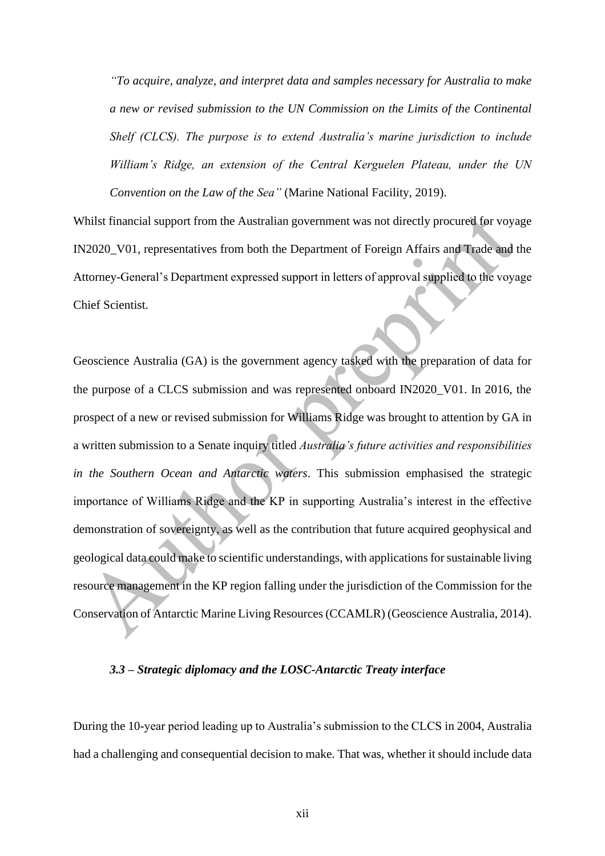*"To acquire, analyze, and interpret data and samples necessary for Australia to make a new or revised submission to the UN Commission on the Limits of the Continental Shelf (CLCS). The purpose is to extend Australia's marine jurisdiction to include William's Ridge, an extension of the Central Kerguelen Plateau, under the UN Convention on the Law of the Sea"* (Marine National Facility, 2019).

Whilst financial support from the Australian government was not directly procured for voyage IN2020\_V01, representatives from both the Department of Foreign Affairs and Trade and the Attorney-General's Department expressed support in letters of approval supplied to the voyage Chief Scientist.

Geoscience Australia (GA) is the government agency tasked with the preparation of data for the purpose of a CLCS submission and was represented onboard IN2020\_V01. In 2016, the prospect of a new or revised submission for Williams Ridge was brought to attention by GA in a written submission to a Senate inquiry titled *Australia's future activities and responsibilities in the Southern Ocean and Antarctic waters*. This submission emphasised the strategic importance of Williams Ridge and the KP in supporting Australia's interest in the effective demonstration of sovereignty, as well as the contribution that future acquired geophysical and geological data could make to scientific understandings, with applications for sustainable living resource management in the KP region falling under the jurisdiction of the Commission for the Conservation of Antarctic Marine Living Resources (CCAMLR) (Geoscience Australia, 2014).

#### *3.3 – Strategic diplomacy and the LOSC-Antarctic Treaty interface*

During the 10-year period leading up to Australia's submission to the CLCS in 2004, Australia had a challenging and consequential decision to make. That was, whether it should include data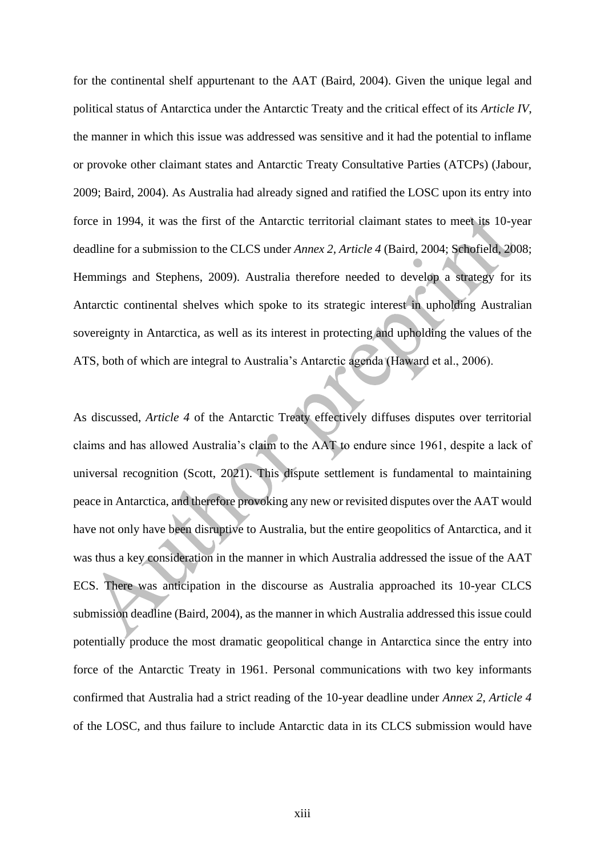for the continental shelf appurtenant to the AAT (Baird, 2004). Given the unique legal and political status of Antarctica under the Antarctic Treaty and the critical effect of its *Article IV*, the manner in which this issue was addressed was sensitive and it had the potential to inflame or provoke other claimant states and Antarctic Treaty Consultative Parties (ATCPs) (Jabour, 2009; Baird, 2004). As Australia had already signed and ratified the LOSC upon its entry into force in 1994, it was the first of the Antarctic territorial claimant states to meet its 10-year deadline for a submission to the CLCS under *Annex 2, Article 4* (Baird, 2004; Schofield, 2008; Hemmings and Stephens, 2009). Australia therefore needed to develop a strategy for its Antarctic continental shelves which spoke to its strategic interest in upholding Australian sovereignty in Antarctica, as well as its interest in protecting and upholding the values of the ATS, both of which are integral to Australia's Antarctic agenda (Haward et al., 2006).

As discussed, *Article 4* of the Antarctic Treaty effectively diffuses disputes over territorial claims and has allowed Australia's claim to the AAT to endure since 1961, despite a lack of universal recognition (Scott, 2021). This dispute settlement is fundamental to maintaining peace in Antarctica, and therefore provoking any new or revisited disputes over the AAT would have not only have been disruptive to Australia, but the entire geopolitics of Antarctica, and it was thus a key consideration in the manner in which Australia addressed the issue of the AAT ECS. There was anticipation in the discourse as Australia approached its 10-year CLCS submission deadline (Baird, 2004), as the manner in which Australia addressed this issue could potentially produce the most dramatic geopolitical change in Antarctica since the entry into force of the Antarctic Treaty in 1961. Personal communications with two key informants confirmed that Australia had a strict reading of the 10-year deadline under *Annex 2, Article 4* of the LOSC, and thus failure to include Antarctic data in its CLCS submission would have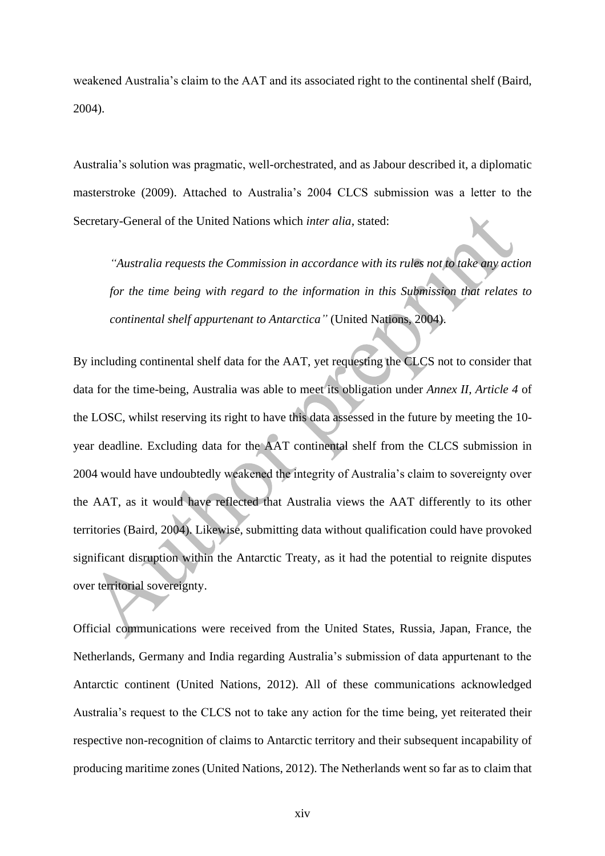weakened Australia's claim to the AAT and its associated right to the continental shelf (Baird, 2004).

Australia's solution was pragmatic, well-orchestrated, and as Jabour described it, a diplomatic masterstroke (2009). Attached to Australia's 2004 CLCS submission was a letter to the Secretary-General of the United Nations which *inter alia,* stated:

*"Australia requests the Commission in accordance with its rules not to take any action for the time being with regard to the information in this Submission that relates to continental shelf appurtenant to Antarctica"* (United Nations, 2004).

By including continental shelf data for the AAT, yet requesting the CLCS not to consider that data for the time-being, Australia was able to meet its obligation under *Annex II, Article 4* of the LOSC, whilst reserving its right to have this data assessed in the future by meeting the 10 year deadline. Excluding data for the AAT continental shelf from the CLCS submission in 2004 would have undoubtedly weakened the integrity of Australia's claim to sovereignty over the AAT, as it would have reflected that Australia views the AAT differently to its other territories (Baird, 2004). Likewise, submitting data without qualification could have provoked significant disruption within the Antarctic Treaty, as it had the potential to reignite disputes over territorial sovereignty.

Official communications were received from the United States, Russia, Japan, France, the Netherlands, Germany and India regarding Australia's submission of data appurtenant to the Antarctic continent (United Nations, 2012). All of these communications acknowledged Australia's request to the CLCS not to take any action for the time being, yet reiterated their respective non-recognition of claims to Antarctic territory and their subsequent incapability of producing maritime zones (United Nations, 2012). The Netherlands went so far as to claim that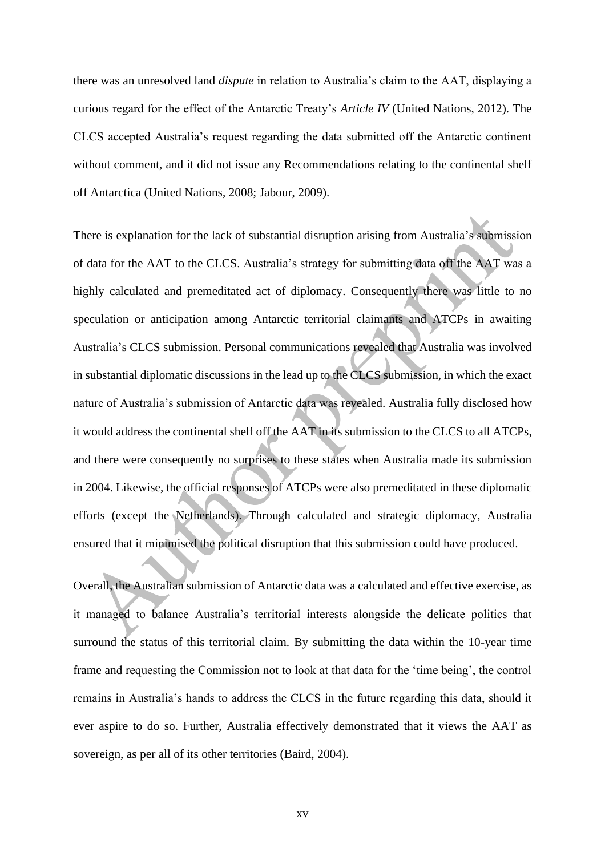there was an unresolved land *dispute* in relation to Australia's claim to the AAT, displaying a curious regard for the effect of the Antarctic Treaty's *Article IV* (United Nations, 2012). The CLCS accepted Australia's request regarding the data submitted off the Antarctic continent without comment, and it did not issue any Recommendations relating to the continental shelf off Antarctica (United Nations, 2008; Jabour, 2009).

There is explanation for the lack of substantial disruption arising from Australia's submission of data for the AAT to the CLCS. Australia's strategy for submitting data off the AAT was a highly calculated and premeditated act of diplomacy. Consequently there was little to no speculation or anticipation among Antarctic territorial claimants and ATCPs in awaiting Australia's CLCS submission. Personal communications revealed that Australia was involved in substantial diplomatic discussions in the lead up to the CLCS submission, in which the exact nature of Australia's submission of Antarctic data was revealed. Australia fully disclosed how it would address the continental shelf off the AAT in its submission to the CLCS to all ATCPs, and there were consequently no surprises to these states when Australia made its submission in 2004. Likewise, the official responses of ATCPs were also premeditated in these diplomatic efforts (except the Netherlands). Through calculated and strategic diplomacy, Australia ensured that it minimised the political disruption that this submission could have produced.

Overall, the Australian submission of Antarctic data was a calculated and effective exercise, as it managed to balance Australia's territorial interests alongside the delicate politics that surround the status of this territorial claim. By submitting the data within the 10-year time frame and requesting the Commission not to look at that data for the 'time being', the control remains in Australia's hands to address the CLCS in the future regarding this data, should it ever aspire to do so. Further, Australia effectively demonstrated that it views the AAT as sovereign, as per all of its other territories (Baird, 2004).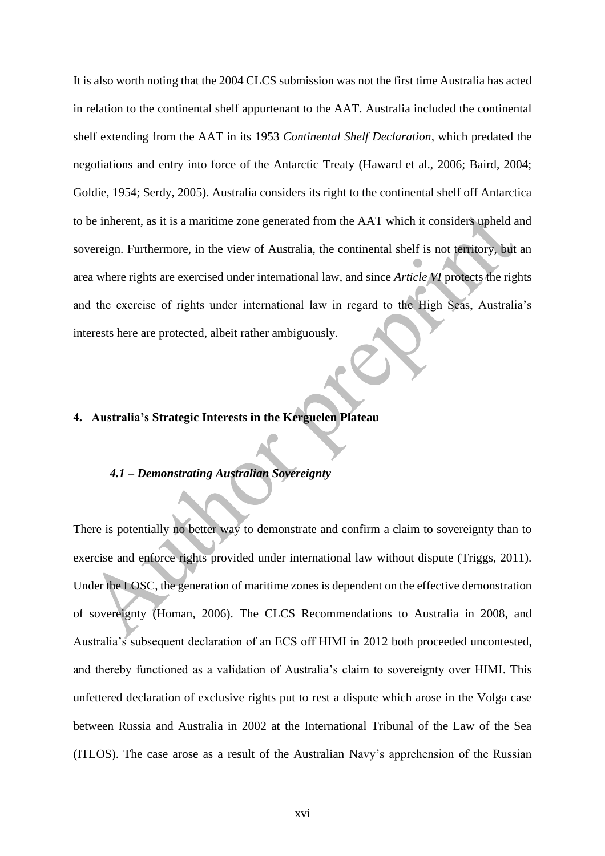It is also worth noting that the 2004 CLCS submission was not the first time Australia has acted in relation to the continental shelf appurtenant to the AAT. Australia included the continental shelf extending from the AAT in its 1953 *Continental Shelf Declaration*, which predated the negotiations and entry into force of the Antarctic Treaty (Haward et al., 2006; Baird, 2004; Goldie, 1954; Serdy, 2005). Australia considers its right to the continental shelf off Antarctica to be inherent, as it is a maritime zone generated from the AAT which it considers upheld and sovereign. Furthermore, in the view of Australia, the continental shelf is not territory, but an area where rights are exercised under international law, and since *Article VI* protects the rights and the exercise of rights under international law in regard to the High Seas, Australia's interests here are protected, albeit rather ambiguously.

# **4. Australia's Strategic Interests in the Kerguelen Plateau**

### *4.1 – Demonstrating Australian Sovereignty*

There is potentially no better way to demonstrate and confirm a claim to sovereignty than to exercise and enforce rights provided under international law without dispute (Triggs, 2011). Under the LOSC, the generation of maritime zones is dependent on the effective demonstration of sovereignty (Homan, 2006). The CLCS Recommendations to Australia in 2008, and Australia's subsequent declaration of an ECS off HIMI in 2012 both proceeded uncontested, and thereby functioned as a validation of Australia's claim to sovereignty over HIMI. This unfettered declaration of exclusive rights put to rest a dispute which arose in the Volga case between Russia and Australia in 2002 at the International Tribunal of the Law of the Sea (ITLOS). The case arose as a result of the Australian Navy's apprehension of the Russian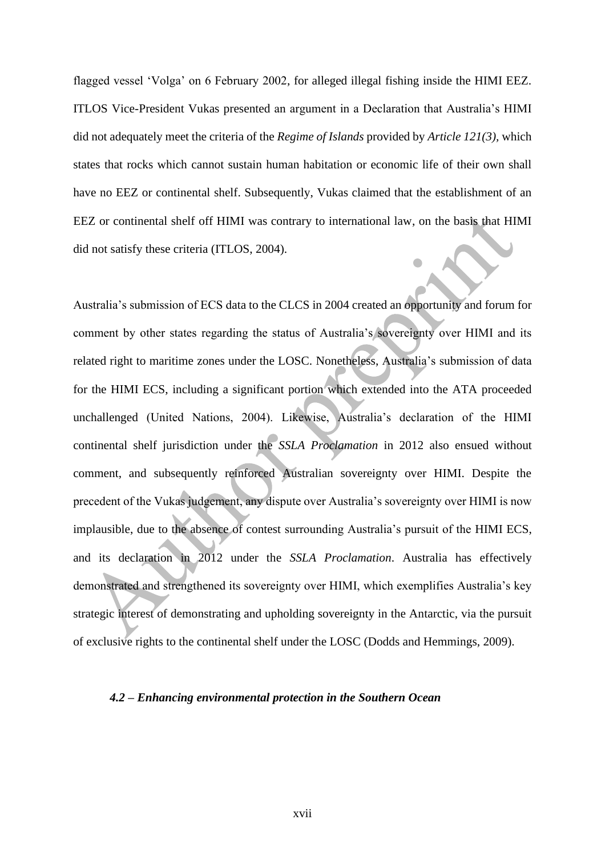flagged vessel 'Volga' on 6 February 2002, for alleged illegal fishing inside the HIMI EEZ. ITLOS Vice-President Vukas presented an argument in a Declaration that Australia's HIMI did not adequately meet the criteria of the *Regime of Islands* provided by *Article 121(3),* which states that rocks which cannot sustain human habitation or economic life of their own shall have no EEZ or continental shelf. Subsequently, Vukas claimed that the establishment of an EEZ or continental shelf off HIMI was contrary to international law, on the basis that HIMI did not satisfy these criteria (ITLOS, 2004).

Australia's submission of ECS data to the CLCS in 2004 created an opportunity and forum for comment by other states regarding the status of Australia's sovereignty over HIMI and its related right to maritime zones under the LOSC. Nonetheless, Australia's submission of data for the HIMI ECS, including a significant portion which extended into the ATA proceeded unchallenged (United Nations, 2004). Likewise, Australia's declaration of the HIMI continental shelf jurisdiction under the *SSLA Proclamation* in 2012 also ensued without comment, and subsequently reinforced Australian sovereignty over HIMI. Despite the precedent of the Vukas judgement, any dispute over Australia's sovereignty over HIMI is now implausible, due to the absence of contest surrounding Australia's pursuit of the HIMI ECS, and its declaration in 2012 under the *SSLA Proclamation*. Australia has effectively demonstrated and strengthened its sovereignty over HIMI, which exemplifies Australia's key strategic interest of demonstrating and upholding sovereignty in the Antarctic, via the pursuit of exclusive rights to the continental shelf under the LOSC (Dodds and Hemmings, 2009).

### *4.2 – Enhancing environmental protection in the Southern Ocean*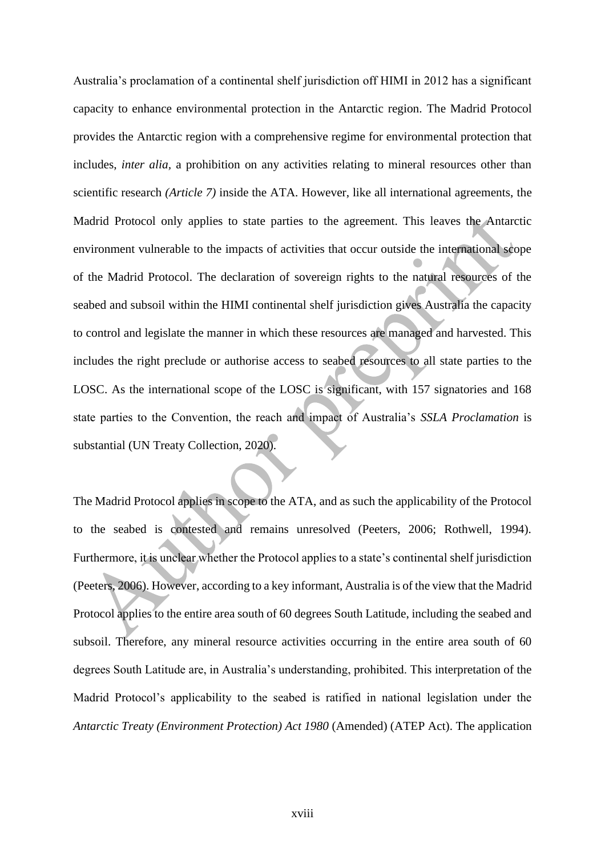Australia's proclamation of a continental shelf jurisdiction off HIMI in 2012 has a significant capacity to enhance environmental protection in the Antarctic region. The Madrid Protocol provides the Antarctic region with a comprehensive regime for environmental protection that includes, *inter alia*, a prohibition on any activities relating to mineral resources other than scientific research *(Article 7)* inside the ATA. However, like all international agreements, the Madrid Protocol only applies to state parties to the agreement. This leaves the Antarctic environment vulnerable to the impacts of activities that occur outside the international scope of the Madrid Protocol. The declaration of sovereign rights to the natural resources of the seabed and subsoil within the HIMI continental shelf jurisdiction gives Australia the capacity to control and legislate the manner in which these resources are managed and harvested. This includes the right preclude or authorise access to seabed resources to all state parties to the LOSC. As the international scope of the LOSC is significant, with 157 signatories and 168 state parties to the Convention, the reach and impact of Australia's *SSLA Proclamation* is substantial (UN Treaty Collection, 2020).

The Madrid Protocol applies in scope to the ATA, and as such the applicability of the Protocol to the seabed is contested and remains unresolved (Peeters, 2006; Rothwell, 1994). Furthermore, it is unclear whether the Protocol applies to a state's continental shelf jurisdiction (Peeters, 2006). However, according to a key informant, Australia is of the view that the Madrid Protocol applies to the entire area south of 60 degrees South Latitude, including the seabed and subsoil. Therefore, any mineral resource activities occurring in the entire area south of 60 degrees South Latitude are, in Australia's understanding, prohibited. This interpretation of the Madrid Protocol's applicability to the seabed is ratified in national legislation under the *Antarctic Treaty (Environment Protection) Act 1980* (Amended) (ATEP Act). The application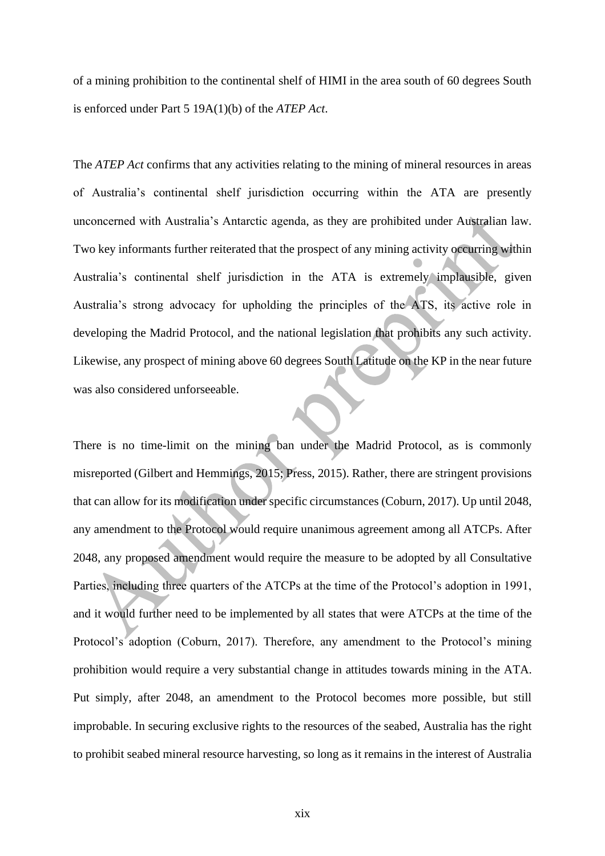of a mining prohibition to the continental shelf of HIMI in the area south of 60 degrees South is enforced under Part 5 19A(1)(b) of the *ATEP Act*.

The *ATEP Act* confirms that any activities relating to the mining of mineral resources in areas of Australia's continental shelf jurisdiction occurring within the ATA are presently unconcerned with Australia's Antarctic agenda, as they are prohibited under Australian law. Two key informants further reiterated that the prospect of any mining activity occurring within Australia's continental shelf jurisdiction in the ATA is extremely implausible, given Australia's strong advocacy for upholding the principles of the ATS, its active role in developing the Madrid Protocol, and the national legislation that prohibits any such activity. Likewise, any prospect of mining above 60 degrees South Latitude on the KP in the near future was also considered unforseeable.

There is no time-limit on the mining ban under the Madrid Protocol, as is commonly misreported (Gilbert and Hemmings, 2015; Press, 2015). Rather, there are stringent provisions that can allow for its modification under specific circumstances (Coburn, 2017). Up until 2048, any amendment to the Protocol would require unanimous agreement among all ATCPs. After 2048, any proposed amendment would require the measure to be adopted by all Consultative Parties, including three quarters of the ATCPs at the time of the Protocol's adoption in 1991, and it would further need to be implemented by all states that were ATCPs at the time of the Protocol's adoption (Coburn, 2017). Therefore, any amendment to the Protocol's mining prohibition would require a very substantial change in attitudes towards mining in the ATA. Put simply, after 2048, an amendment to the Protocol becomes more possible, but still improbable. In securing exclusive rights to the resources of the seabed, Australia has the right to prohibit seabed mineral resource harvesting, so long as it remains in the interest of Australia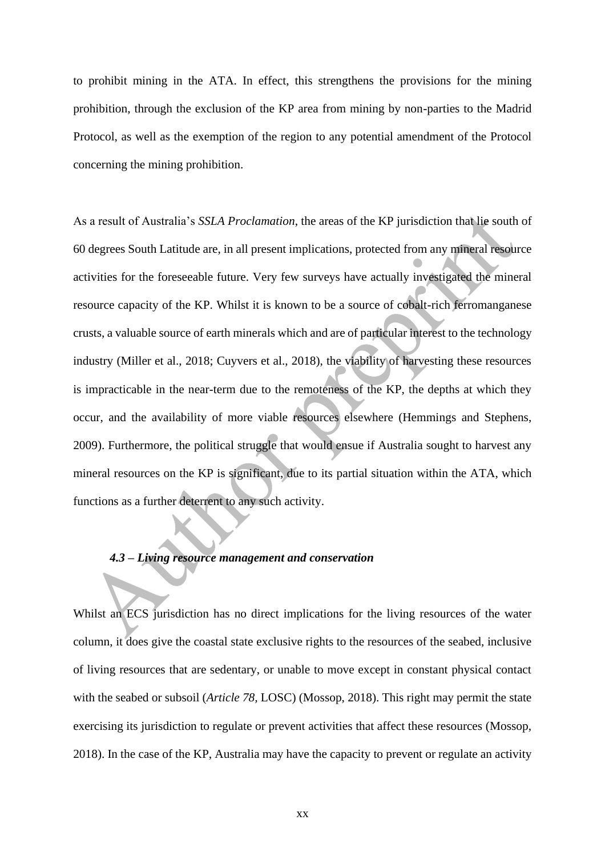to prohibit mining in the ATA. In effect, this strengthens the provisions for the mining prohibition, through the exclusion of the KP area from mining by non-parties to the Madrid Protocol, as well as the exemption of the region to any potential amendment of the Protocol concerning the mining prohibition.

As a result of Australia's *SSLA Proclamation*, the areas of the KP jurisdiction that lie south of 60 degrees South Latitude are, in all present implications, protected from any mineral resource activities for the foreseeable future. Very few surveys have actually investigated the mineral resource capacity of the KP. Whilst it is known to be a source of cobalt-rich ferromanganese crusts, a valuable source of earth minerals which and are of particular interest to the technology industry (Miller et al., 2018; Cuyvers et al., 2018), the viability of harvesting these resources is impracticable in the near-term due to the remoteness of the KP, the depths at which they occur, and the availability of more viable resources elsewhere (Hemmings and Stephens, 2009). Furthermore, the political struggle that would ensue if Australia sought to harvest any mineral resources on the KP is significant, due to its partial situation within the ATA, which functions as a further deterrent to any such activity.

# *4.3 – Living resource management and conservation*

Whilst an ECS jurisdiction has no direct implications for the living resources of the water column, it does give the coastal state exclusive rights to the resources of the seabed, inclusive of living resources that are sedentary, or unable to move except in constant physical contact with the seabed or subsoil (*Article 78,* LOSC) (Mossop, 2018). This right may permit the state exercising its jurisdiction to regulate or prevent activities that affect these resources (Mossop, 2018). In the case of the KP, Australia may have the capacity to prevent or regulate an activity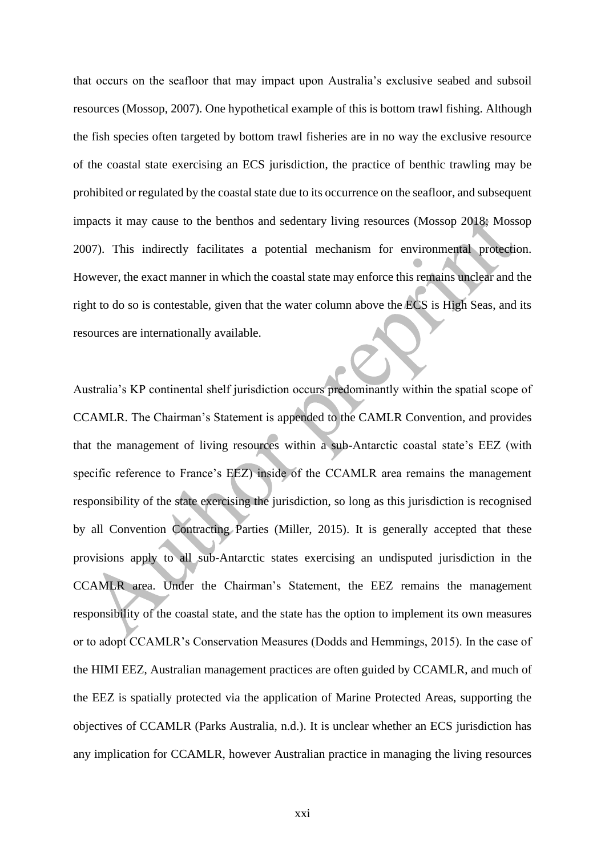that occurs on the seafloor that may impact upon Australia's exclusive seabed and subsoil resources (Mossop, 2007). One hypothetical example of this is bottom trawl fishing. Although the fish species often targeted by bottom trawl fisheries are in no way the exclusive resource of the coastal state exercising an ECS jurisdiction, the practice of benthic trawling may be prohibited or regulated by the coastal state due to its occurrence on the seafloor, and subsequent impacts it may cause to the benthos and sedentary living resources (Mossop 2018; Mossop 2007). This indirectly facilitates a potential mechanism for environmental protection. However, the exact manner in which the coastal state may enforce this remains unclear and the right to do so is contestable, given that the water column above the ECS is High Seas, and its resources are internationally available.

Australia's KP continental shelf jurisdiction occurs predominantly within the spatial scope of CCAMLR. The Chairman's Statement is appended to the CAMLR Convention, and provides that the management of living resources within a sub-Antarctic coastal state's EEZ (with specific reference to France's EEZ) inside of the CCAMLR area remains the management responsibility of the state exercising the jurisdiction, so long as this jurisdiction is recognised by all Convention Contracting Parties (Miller, 2015). It is generally accepted that these provisions apply to all sub-Antarctic states exercising an undisputed jurisdiction in the CCAMLR area. Under the Chairman's Statement, the EEZ remains the management responsibility of the coastal state, and the state has the option to implement its own measures or to adopt CCAMLR's Conservation Measures (Dodds and Hemmings, 2015). In the case of the HIMI EEZ, Australian management practices are often guided by CCAMLR, and much of the EEZ is spatially protected via the application of Marine Protected Areas, supporting the objectives of CCAMLR (Parks Australia, n.d.). It is unclear whether an ECS jurisdiction has any implication for CCAMLR, however Australian practice in managing the living resources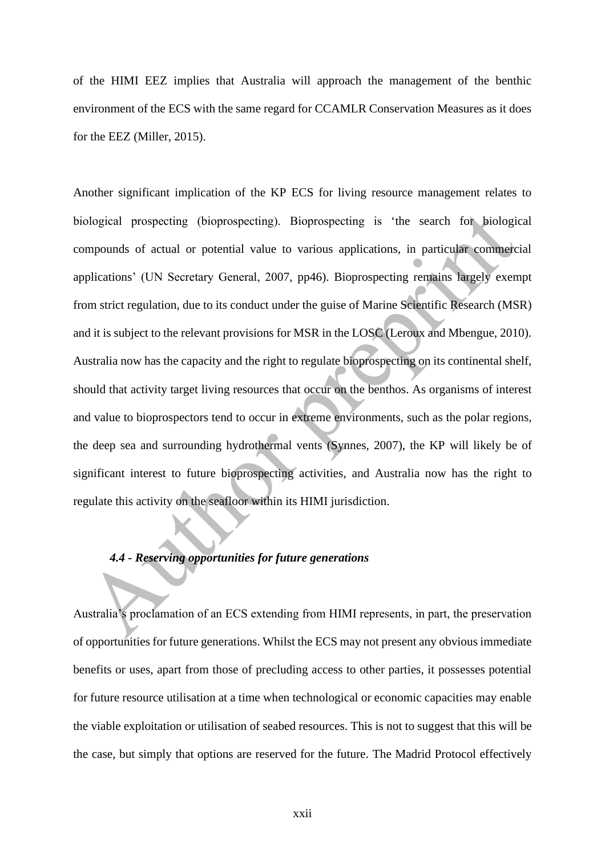of the HIMI EEZ implies that Australia will approach the management of the benthic environment of the ECS with the same regard for CCAMLR Conservation Measures as it does for the EEZ (Miller, 2015).

Another significant implication of the KP ECS for living resource management relates to biological prospecting (bioprospecting). Bioprospecting is 'the search for biological compounds of actual or potential value to various applications, in particular commercial applications' (UN Secretary General, 2007, pp46). Bioprospecting remains largely exempt from strict regulation, due to its conduct under the guise of Marine Scientific Research (MSR) and it is subject to the relevant provisions for MSR in the LOSC (Leroux and Mbengue, 2010). Australia now has the capacity and the right to regulate bioprospecting on its continental shelf, should that activity target living resources that occur on the benthos. As organisms of interest and value to bioprospectors tend to occur in extreme environments, such as the polar regions, the deep sea and surrounding hydrothermal vents (Synnes, 2007), the KP will likely be of significant interest to future bioprospecting activities, and Australia now has the right to regulate this activity on the seafloor within its HIMI jurisdiction.

# *4.4 - Reserving opportunities for future generations*

Australia's proclamation of an ECS extending from HIMI represents, in part, the preservation of opportunities for future generations. Whilst the ECS may not present any obvious immediate benefits or uses, apart from those of precluding access to other parties, it possesses potential for future resource utilisation at a time when technological or economic capacities may enable the viable exploitation or utilisation of seabed resources. This is not to suggest that this will be the case, but simply that options are reserved for the future. The Madrid Protocol effectively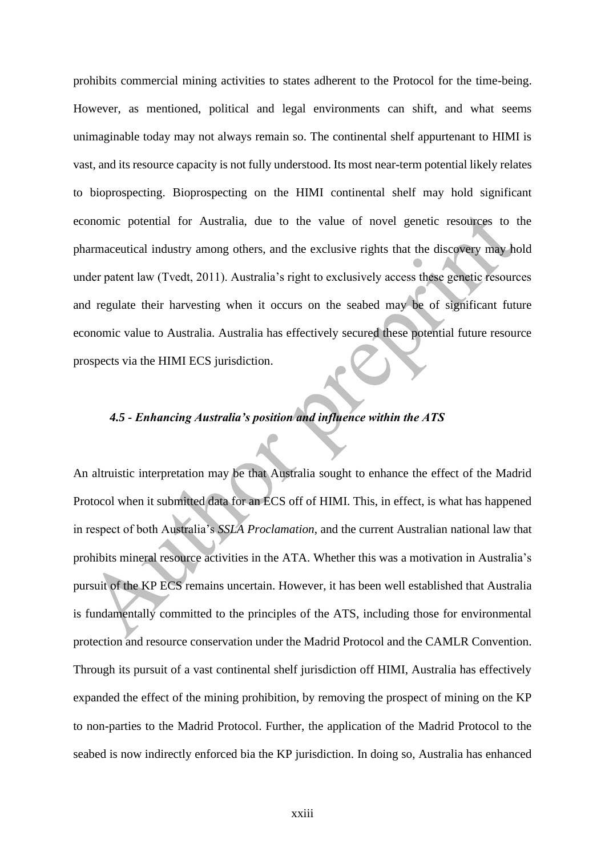prohibits commercial mining activities to states adherent to the Protocol for the time-being. However, as mentioned, political and legal environments can shift, and what seems unimaginable today may not always remain so. The continental shelf appurtenant to HIMI is vast, and its resource capacity is not fully understood. Its most near-term potential likely relates to bioprospecting. Bioprospecting on the HIMI continental shelf may hold significant economic potential for Australia, due to the value of novel genetic resources to the pharmaceutical industry among others, and the exclusive rights that the discovery may hold under patent law (Tvedt, 2011). Australia's right to exclusively access these genetic resources and regulate their harvesting when it occurs on the seabed may be of significant future economic value to Australia. Australia has effectively secured these potential future resource prospects via the HIMI ECS jurisdiction.

# *4.5 - Enhancing Australia's position and influence within the ATS*

An altruistic interpretation may be that Australia sought to enhance the effect of the Madrid Protocol when it submitted data for an ECS off of HIMI. This, in effect, is what has happened in respect of both Australia's *SSLA Proclamation*, and the current Australian national law that prohibits mineral resource activities in the ATA. Whether this was a motivation in Australia's pursuit of the KP ECS remains uncertain. However, it has been well established that Australia is fundamentally committed to the principles of the ATS, including those for environmental protection and resource conservation under the Madrid Protocol and the CAMLR Convention. Through its pursuit of a vast continental shelf jurisdiction off HIMI, Australia has effectively expanded the effect of the mining prohibition, by removing the prospect of mining on the KP to non-parties to the Madrid Protocol. Further, the application of the Madrid Protocol to the seabed is now indirectly enforced bia the KP jurisdiction. In doing so, Australia has enhanced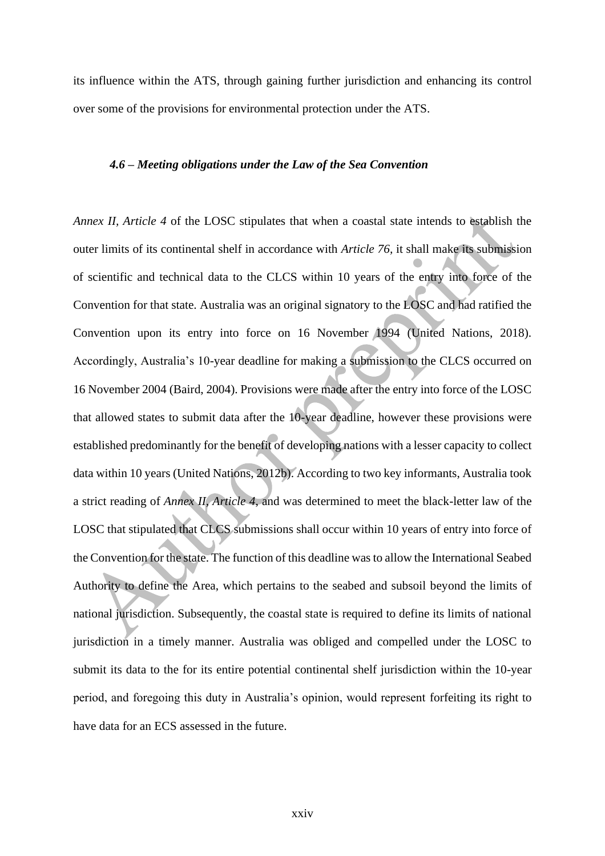its influence within the ATS, through gaining further jurisdiction and enhancing its control over some of the provisions for environmental protection under the ATS.

### *4.6 – Meeting obligations under the Law of the Sea Convention*

*Annex II, Article 4* of the LOSC stipulates that when a coastal state intends to establish the outer limits of its continental shelf in accordance with *Article 76,* it shall make its submission of scientific and technical data to the CLCS within 10 years of the entry into force of the Convention for that state. Australia was an original signatory to the LOSC and had ratified the Convention upon its entry into force on 16 November 1994 (United Nations, 2018). Accordingly, Australia's 10-year deadline for making a submission to the CLCS occurred on 16 November 2004 (Baird, 2004). Provisions were made after the entry into force of the LOSC that allowed states to submit data after the 10-year deadline, however these provisions were established predominantly for the benefit of developing nations with a lesser capacity to collect data within 10 years (United Nations, 2012b). According to two key informants, Australia took a strict reading of *Annex II, Article 4*, and was determined to meet the black-letter law of the LOSC that stipulated that CLCS submissions shall occur within 10 years of entry into force of the Convention for the state. The function of this deadline was to allow the International Seabed Authority to define the Area, which pertains to the seabed and subsoil beyond the limits of national jurisdiction. Subsequently, the coastal state is required to define its limits of national jurisdiction in a timely manner. Australia was obliged and compelled under the LOSC to submit its data to the for its entire potential continental shelf jurisdiction within the 10-year period, and foregoing this duty in Australia's opinion, would represent forfeiting its right to have data for an ECS assessed in the future.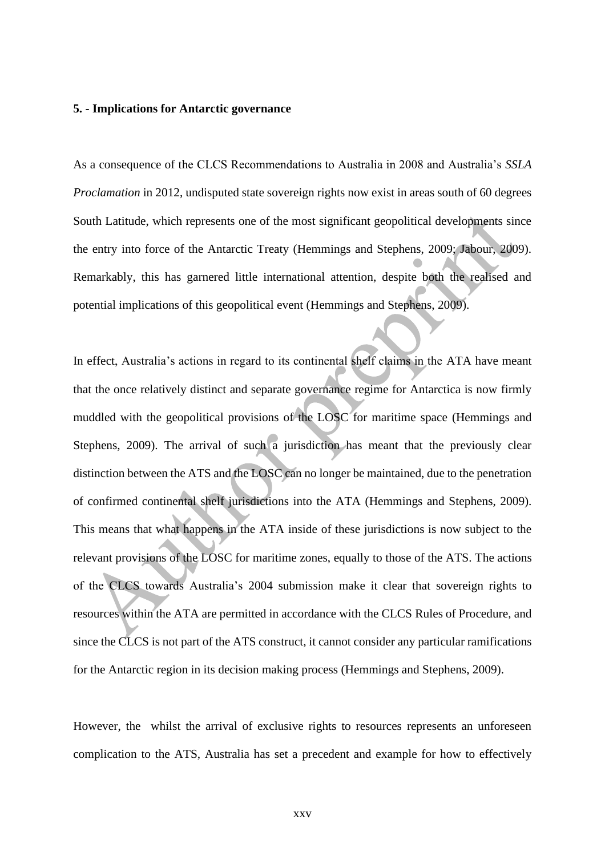#### **5. - Implications for Antarctic governance**

As a consequence of the CLCS Recommendations to Australia in 2008 and Australia's *SSLA Proclamation* in 2012, undisputed state sovereign rights now exist in areas south of 60 degrees South Latitude, which represents one of the most significant geopolitical developments since the entry into force of the Antarctic Treaty (Hemmings and Stephens, 2009; Jabour, 2009). Remarkably, this has garnered little international attention, despite both the realised and potential implications of this geopolitical event (Hemmings and Stephens, 2009).

In effect, Australia's actions in regard to its continental shelf claims in the ATA have meant that the once relatively distinct and separate governance regime for Antarctica is now firmly muddled with the geopolitical provisions of the LOSC for maritime space (Hemmings and Stephens, 2009). The arrival of such a jurisdiction has meant that the previously clear distinction between the ATS and the LOSC can no longer be maintained, due to the penetration of confirmed continental shelf jurisdictions into the ATA (Hemmings and Stephens, 2009). This means that what happens in the ATA inside of these jurisdictions is now subject to the relevant provisions of the LOSC for maritime zones, equally to those of the ATS. The actions of the CLCS towards Australia's 2004 submission make it clear that sovereign rights to resources within the ATA are permitted in accordance with the CLCS Rules of Procedure, and since the CLCS is not part of the ATS construct, it cannot consider any particular ramifications for the Antarctic region in its decision making process (Hemmings and Stephens, 2009).

However, the whilst the arrival of exclusive rights to resources represents an unforeseen complication to the ATS, Australia has set a precedent and example for how to effectively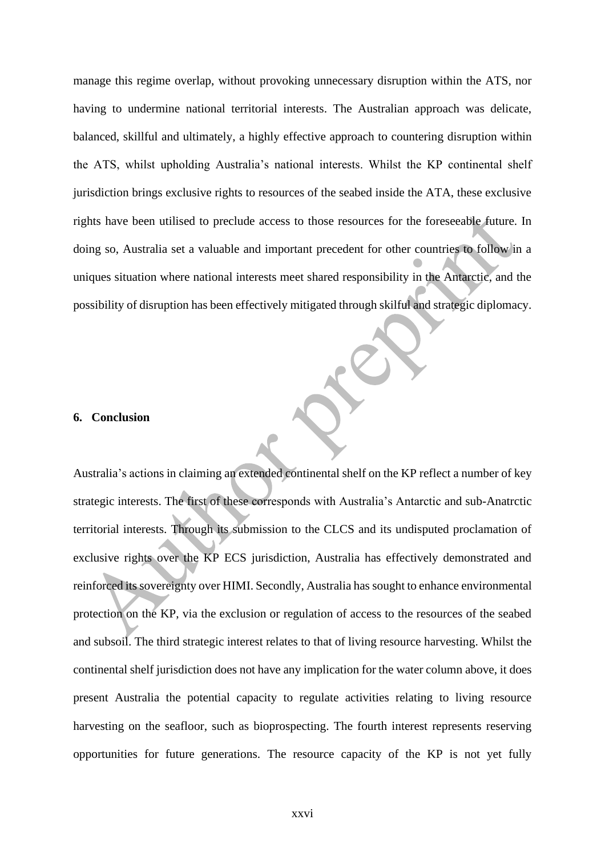manage this regime overlap, without provoking unnecessary disruption within the ATS, nor having to undermine national territorial interests. The Australian approach was delicate, balanced, skillful and ultimately, a highly effective approach to countering disruption within the ATS, whilst upholding Australia's national interests. Whilst the KP continental shelf jurisdiction brings exclusive rights to resources of the seabed inside the ATA, these exclusive rights have been utilised to preclude access to those resources for the foreseeable future. In doing so, Australia set a valuable and important precedent for other countries to follow in a uniques situation where national interests meet shared responsibility in the Antarctic, and the possibility of disruption has been effectively mitigated through skilful and strategic diplomacy.

### **6. Conclusion**

Australia's actions in claiming an extended continental shelf on the KP reflect a number of key strategic interests. The first of these corresponds with Australia's Antarctic and sub-Anatrctic territorial interests. Through its submission to the CLCS and its undisputed proclamation of exclusive rights over the KP ECS jurisdiction, Australia has effectively demonstrated and reinforced its sovereignty over HIMI. Secondly, Australia has sought to enhance environmental protection on the KP, via the exclusion or regulation of access to the resources of the seabed and subsoil. The third strategic interest relates to that of living resource harvesting. Whilst the continental shelf jurisdiction does not have any implication for the water column above, it does present Australia the potential capacity to regulate activities relating to living resource harvesting on the seafloor, such as bioprospecting. The fourth interest represents reserving opportunities for future generations. The resource capacity of the KP is not yet fully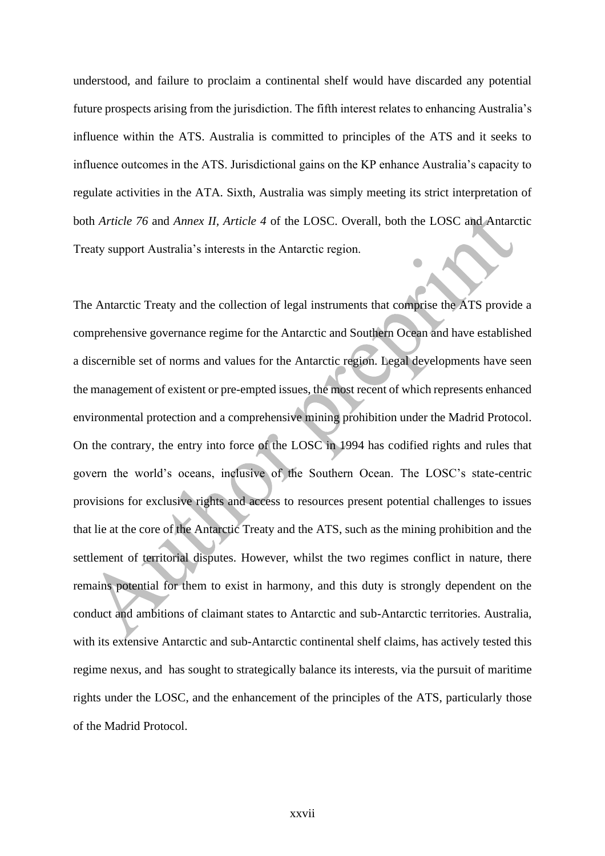understood, and failure to proclaim a continental shelf would have discarded any potential future prospects arising from the jurisdiction. The fifth interest relates to enhancing Australia's influence within the ATS. Australia is committed to principles of the ATS and it seeks to influence outcomes in the ATS. Jurisdictional gains on the KP enhance Australia's capacity to regulate activities in the ATA. Sixth, Australia was simply meeting its strict interpretation of both *Article 76* and *Annex II, Article 4* of the LOSC. Overall, both the LOSC and Antarctic Treaty support Australia's interests in the Antarctic region.

The Antarctic Treaty and the collection of legal instruments that comprise the ATS provide a comprehensive governance regime for the Antarctic and Southern Ocean and have established a discernible set of norms and values for the Antarctic region. Legal developments have seen the management of existent or pre-empted issues, the most recent of which represents enhanced environmental protection and a comprehensive mining prohibition under the Madrid Protocol. On the contrary, the entry into force of the LOSC in 1994 has codified rights and rules that govern the world's oceans, inclusive of the Southern Ocean. The LOSC's state-centric provisions for exclusive rights and access to resources present potential challenges to issues that lie at the core of the Antarctic Treaty and the ATS, such as the mining prohibition and the settlement of territorial disputes. However, whilst the two regimes conflict in nature, there remains potential for them to exist in harmony, and this duty is strongly dependent on the conduct and ambitions of claimant states to Antarctic and sub-Antarctic territories. Australia, with its extensive Antarctic and sub-Antarctic continental shelf claims, has actively tested this regime nexus, and has sought to strategically balance its interests, via the pursuit of maritime rights under the LOSC, and the enhancement of the principles of the ATS, particularly those of the Madrid Protocol.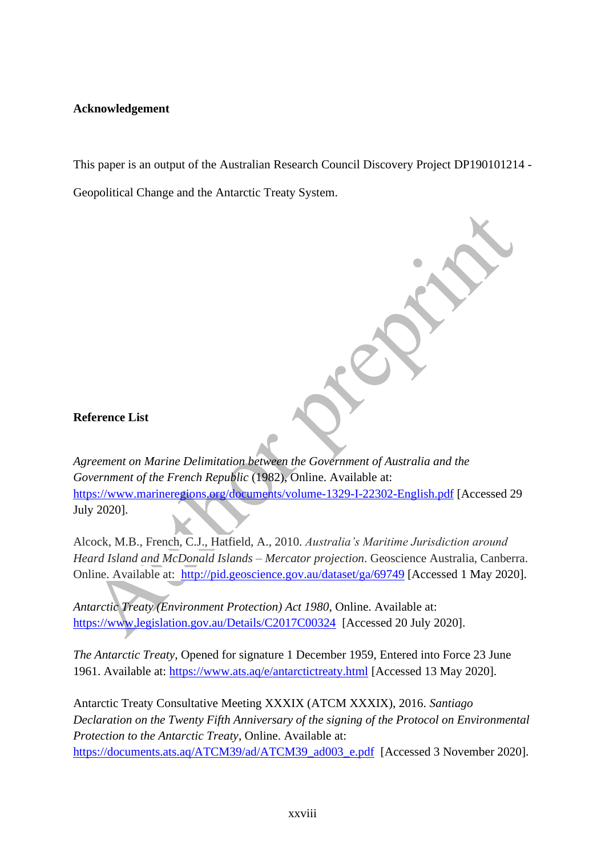# **Acknowledgement**

This paper is an output of the Australian Research Council Discovery Project DP190101214 -

Geopolitical Change and the Antarctic Treaty System.

# **Reference List**

*Agreement on Marine Delimitation between the Government of Australia and the Government of the French Republic* (1982), Online. Available at: <https://www.marineregions.org/documents/volume-1329-I-22302-English.pdf> [Accessed 29 July 2020].

Alcock, M.B., French, C.J., Hatfield, A., 2010. *Australia's Maritime Jurisdiction around Heard Island and McDonald Islands – Mercator projection*. Geoscience Australia, Canberra. Online. Available at: <http://pid.geoscience.gov.au/dataset/ga/69749> [Accessed 1 May 2020].

*Antarctic Treaty (Environment Protection) Act 1980*, Online. Available at: <https://www.legislation.gov.au/Details/C2017C00324>[Accessed 20 July 2020].

*The Antarctic Treaty,* Opened for signature 1 December 1959, Entered into Force 23 June 1961. Available at:<https://www.ats.aq/e/antarctictreaty.html> [Accessed 13 May 2020].

Antarctic Treaty Consultative Meeting XXXIX (ATCM XXXIX), 2016. *Santiago Declaration on the Twenty Fifth Anniversary of the signing of the Protocol on Environmental Protection to the Antarctic Treaty*, Online. Available at: [https://documents.ats.aq/ATCM39/ad/ATCM39\\_ad003\\_e.pdf](https://documents.ats.aq/ATCM39/ad/ATCM39_ad003_e.pdf) [Accessed 3 November 2020].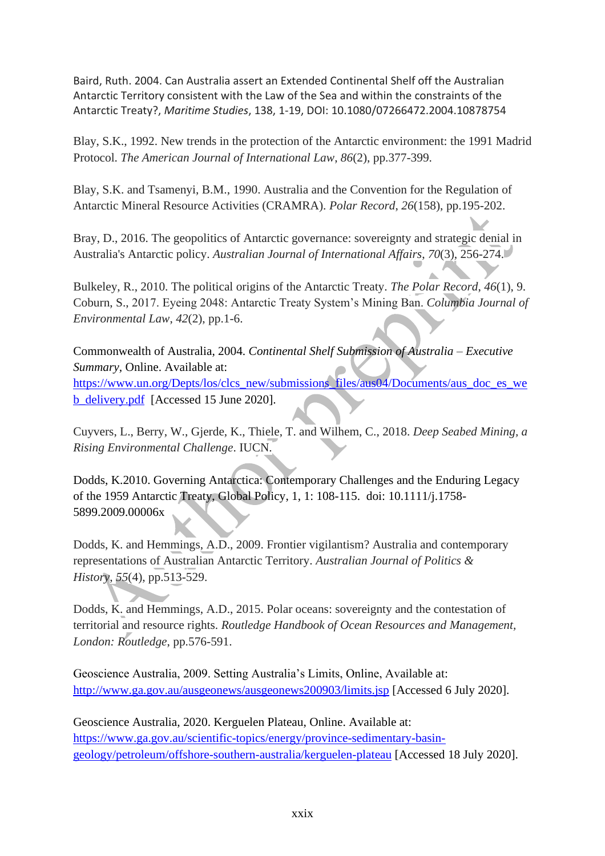Baird, Ruth. 2004. Can Australia assert an Extended Continental Shelf off the Australian Antarctic Territory consistent with the Law of the Sea and within the constraints of the Antarctic Treaty?, *Maritime Studies*, 138, 1-19, DOI: 10.1080/07266472.2004.10878754

Blay, S.K., 1992. New trends in the protection of the Antarctic environment: the 1991 Madrid Protocol. *The American Journal of International Law*, *86*(2), pp.377-399.

Blay, S.K. and Tsamenyi, B.M., 1990. Australia and the Convention for the Regulation of Antarctic Mineral Resource Activities (CRAMRA). *Polar Record*, *26*(158), pp.195-202.

Bray, D., 2016. The geopolitics of Antarctic governance: sovereignty and strategic denial in Australia's Antarctic policy. *Australian Journal of International Affairs*, *70*(3), 256-274.

Bulkeley, R., 2010. The political origins of the Antarctic Treaty. *The Polar Record*, *46*(1), 9. Coburn, S., 2017. Eyeing 2048: Antarctic Treaty System's Mining Ban. *Columbia Journal of Environmental Law*, *42*(2), pp.1-6.

Commonwealth of Australia, 2004. *Continental Shelf Submission of Australia – Executive Summary,* Online. Available at: [https://www.un.org/Depts/los/clcs\\_new/submissions\\_files/aus04/Documents/aus\\_doc\\_es\\_we](https://www.un.org/Depts/los/clcs_new/submissions_files/aus04/Documents/aus_doc_es_web_delivery.pdf) [b\\_delivery.pdf](https://www.un.org/Depts/los/clcs_new/submissions_files/aus04/Documents/aus_doc_es_web_delivery.pdf) [Accessed 15 June 2020].

Cuyvers, L., Berry, W., Gjerde, K., Thiele, T. and Wilhem, C., 2018. *Deep Seabed Mining, a Rising Environmental Challenge*. IUCN.

Dodds, K.2010. Governing Antarctica: Contemporary Challenges and the Enduring Legacy of the 1959 Antarctic Treaty, Global Policy, 1, 1: 108-115. doi: 10.1111/j.1758- 5899.2009.00006x

Dodds, K. and Hemmings, A.D., 2009. Frontier vigilantism? Australia and contemporary representations of Australian Antarctic Territory. *Australian Journal of Politics & History*, *55*(4), pp.513-529.

Dodds, K. and Hemmings, A.D., 2015. Polar oceans: sovereignty and the contestation of territorial and resource rights. *Routledge Handbook of Ocean Resources and Management, London: Routledge*, pp.576-591.

Geoscience Australia, 2009. Setting Australia's Limits, Online, Available at: <http://www.ga.gov.au/ausgeonews/ausgeonews200903/limits.jsp> [Accessed 6 July 2020].

Geoscience Australia, 2020. Kerguelen Plateau, Online. Available at: [https://www.ga.gov.au/scientific-topics/energy/province-sedimentary-basin](https://www.ga.gov.au/scientific-topics/energy/province-sedimentary-basin-geology/petroleum/offshore-southern-australia/kerguelen-plateau)[geology/petroleum/offshore-southern-australia/kerguelen-plateau](https://www.ga.gov.au/scientific-topics/energy/province-sedimentary-basin-geology/petroleum/offshore-southern-australia/kerguelen-plateau) [Accessed 18 July 2020].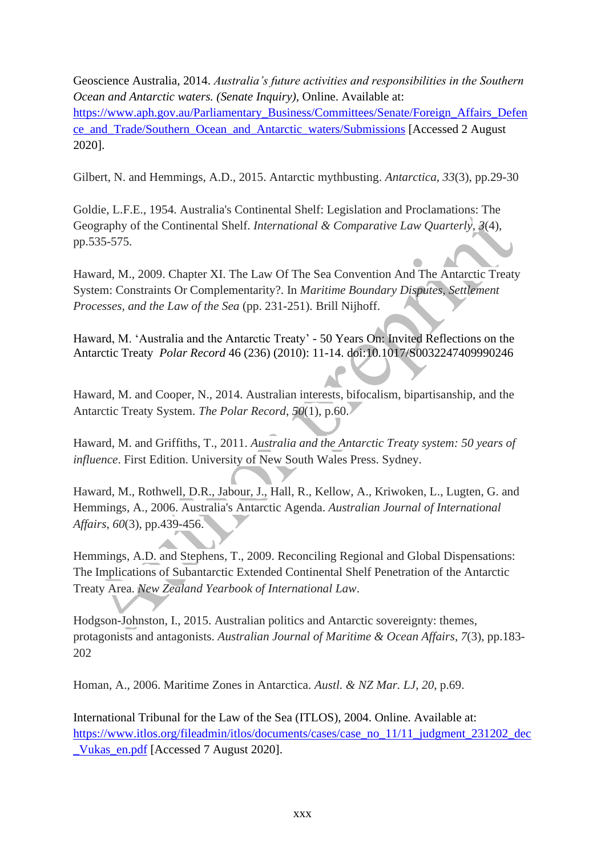Geoscience Australia, 2014. *Australia's future activities and responsibilities in the Southern Ocean and Antarctic waters. (Senate Inquiry),* Online. Available at: [https://www.aph.gov.au/Parliamentary\\_Business/Committees/Senate/Foreign\\_Affairs\\_Defen](https://www.aph.gov.au/Parliamentary_Business/Committees/Senate/Foreign_Affairs_Defence_and_Trade/Southern_Ocean_and_Antarctic_waters/Submissions) [ce\\_and\\_Trade/Southern\\_Ocean\\_and\\_Antarctic\\_waters/Submissions](https://www.aph.gov.au/Parliamentary_Business/Committees/Senate/Foreign_Affairs_Defence_and_Trade/Southern_Ocean_and_Antarctic_waters/Submissions) [Accessed 2 August 2020].

Gilbert, N. and Hemmings, A.D., 2015. Antarctic mythbusting. *Antarctica*, *33*(3), pp.29-30

Goldie, L.F.E., 1954. Australia's Continental Shelf: Legislation and Proclamations: The Geography of the Continental Shelf. *International & Comparative Law Quarterly*, *3*(4), pp.535-575.

Haward, M., 2009. Chapter XI. The Law Of The Sea Convention And The Antarctic Treaty System: Constraints Or Complementarity?. In *Maritime Boundary Disputes, Settlement Processes, and the Law of the Sea* (pp. 231-251). Brill Nijhoff.

Haward, M. 'Australia and the Antarctic Treaty' - 50 Years On: Invited Reflections on the Antarctic Treaty *Polar Record* 46 (236) (2010): 11-14. doi:10.1017/S0032247409990246

Haward, M. and Cooper, N., 2014. Australian interests, bifocalism, bipartisanship, and the Antarctic Treaty System. *The Polar Record*, *50*(1), p.60.

Haward, M. and Griffiths, T., 2011. *Australia and the Antarctic Treaty system: 50 years of influence*. First Edition. University of New South Wales Press. Sydney.

Haward, M., Rothwell, D.R., Jabour, J., Hall, R., Kellow, A., Kriwoken, L., Lugten, G. and Hemmings, A., 2006. Australia's Antarctic Agenda. *Australian Journal of International Affairs*, *60*(3), pp.439-456.

Hemmings, A.D. and Stephens, T., 2009. Reconciling Regional and Global Dispensations: The Implications of Subantarctic Extended Continental Shelf Penetration of the Antarctic Treaty Area. *New Zealand Yearbook of International Law*.

Hodgson-Johnston, I., 2015. Australian politics and Antarctic sovereignty: themes, protagonists and antagonists. *Australian Journal of Maritime & Ocean Affairs*, *7*(3), pp.183- 202

Homan, A., 2006. Maritime Zones in Antarctica. *Austl. & NZ Mar. LJ*, *20*, p.69.

International Tribunal for the Law of the Sea (ITLOS), 2004. Online. Available at: [https://www.itlos.org/fileadmin/itlos/documents/cases/case\\_no\\_11/11\\_judgment\\_231202\\_dec](https://www.itlos.org/fileadmin/itlos/documents/cases/case_no_11/11_judgment_231202_dec_Vukas_en.pdf) [\\_Vukas\\_en.pdf](https://www.itlos.org/fileadmin/itlos/documents/cases/case_no_11/11_judgment_231202_dec_Vukas_en.pdf) [Accessed 7 August 2020].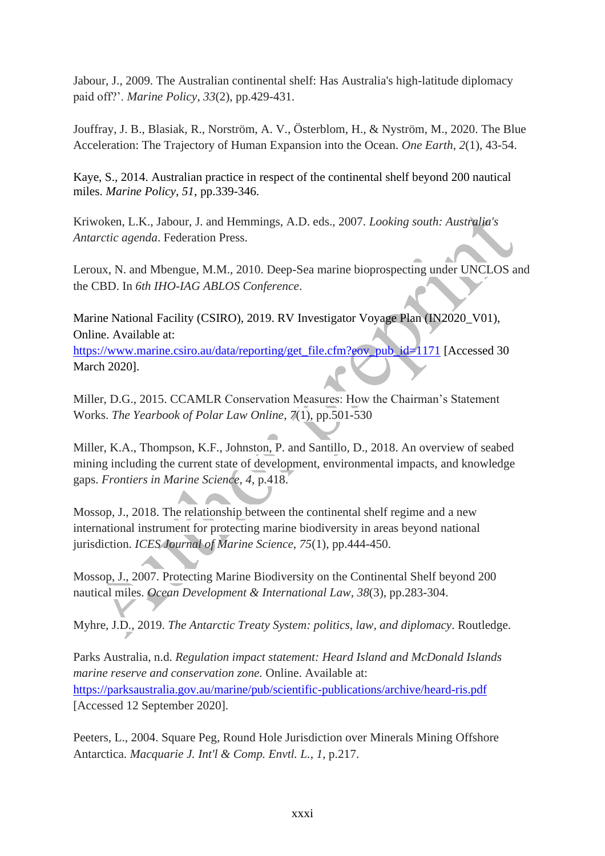Jabour, J., 2009. The Australian continental shelf: Has Australia's high-latitude diplomacy paid off?'. *Marine Policy*, *33*(2), pp.429-431.

Jouffray, J. B., Blasiak, R., Norström, A. V., Österblom, H., & Nyström, M., 2020. The Blue Acceleration: The Trajectory of Human Expansion into the Ocean. *One Earth*, *2*(1), 43-54.

Kaye, S., 2014. Australian practice in respect of the continental shelf beyond 200 nautical miles. *Marine Policy, 51*, pp.339-346.

Kriwoken, L.K., Jabour, J. and Hemmings, A.D. eds., 2007. *Looking south: Australia's Antarctic agenda*. Federation Press.

Leroux, N. and Mbengue, M.M., 2010. Deep-Sea marine bioprospecting under UNCLOS and the CBD. In *6th IHO-IAG ABLOS Conference*.

Marine National Facility (CSIRO), 2019. RV Investigator Voyage Plan (IN2020 V01), Online. Available at:

[https://www.marine.csiro.au/data/reporting/get\\_file.cfm?eov\\_pub\\_id=1171](https://www.marine.csiro.au/data/reporting/get_file.cfm?eov_pub_id=1171) [Accessed 30 March 2020].

Miller, D.G., 2015. CCAMLR Conservation Measures: How the Chairman's Statement Works. *The Yearbook of Polar Law Online*, *7*(1), pp.501-530

Miller, K.A., Thompson, K.F., Johnston, P. and Santillo, D., 2018. An overview of seabed mining including the current state of development, environmental impacts, and knowledge gaps. *Frontiers in Marine Science*, *4*, p.418.

Mossop, J., 2018. The relationship between the continental shelf regime and a new international instrument for protecting marine biodiversity in areas beyond national jurisdiction. *ICES Journal of Marine Science*, *75*(1), pp.444-450.

Mossop, J., 2007. Protecting Marine Biodiversity on the Continental Shelf beyond 200 nautical miles. *Ocean Development & International Law*, *38*(3), pp.283-304.

Myhre, J.D., 2019. *The Antarctic Treaty System: politics, law, and diplomacy*. Routledge.

Parks Australia, n.d. *Regulation impact statement: Heard Island and McDonald Islands marine reserve and conservation zone.* Online. Available at: <https://parksaustralia.gov.au/marine/pub/scientific-publications/archive/heard-ris.pdf> [Accessed 12 September 2020].

Peeters, L., 2004. Square Peg, Round Hole Jurisdiction over Minerals Mining Offshore Antarctica. *Macquarie J. Int'l & Comp. Envtl. L.*, *1*, p.217.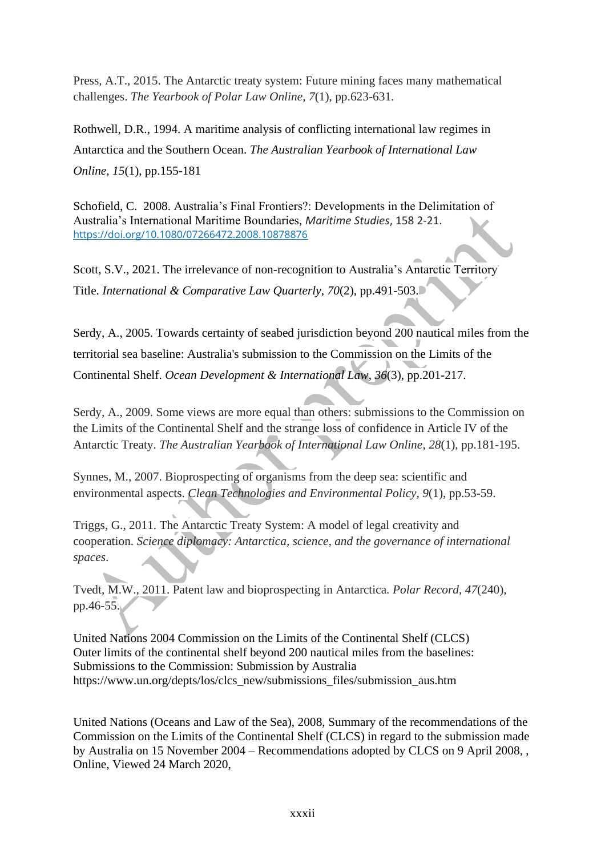Press, A.T., 2015. The Antarctic treaty system: Future mining faces many mathematical challenges. *The Yearbook of Polar Law Online*, *7*(1), pp.623-631.

Rothwell, D.R., 1994. A maritime analysis of conflicting international law regimes in Antarctica and the Southern Ocean. *The Australian Yearbook of International Law Online*, *15*(1), pp.155-181

Schofield, C. 2008. Australia's Final Frontiers?: Developments in the Delimitation of Australia's International Maritime Boundaries, *Maritime Studies*, 158 2-21. <https://doi.org/10.1080/07266472.2008.10878876>

Scott, S.V., 2021. The irrelevance of non-recognition to Australia's Antarctic Territory Title. *International & Comparative Law Quarterly*, *70*(2), pp.491-503.

Serdy, A., 2005. Towards certainty of seabed jurisdiction beyond 200 nautical miles from the territorial sea baseline: Australia's submission to the Commission on the Limits of the Continental Shelf. *Ocean Development & International Law*, *36*(3), pp.201-217.

Serdy, A., 2009. Some views are more equal than others: submissions to the Commission on the Limits of the Continental Shelf and the strange loss of confidence in Article IV of the Antarctic Treaty. *The Australian Yearbook of International Law Online*, *28*(1), pp.181-195.

Synnes, M., 2007. Bioprospecting of organisms from the deep sea: scientific and environmental aspects. *Clean Technologies and Environmental Policy*, *9*(1), pp.53-59.

Triggs, G., 2011. The Antarctic Treaty System: A model of legal creativity and cooperation. *Science diplomacy: Antarctica, science, and the governance of international spaces*.

Tvedt, M.W., 2011. Patent law and bioprospecting in Antarctica. *Polar Record*, *47*(240), pp.46-55.

United Nations 2004 Commission on the Limits of the Continental Shelf (CLCS) Outer limits of the continental shelf beyond 200 nautical miles from the baselines: Submissions to the Commission: Submission by Australia https://www.un.org/depts/los/clcs\_new/submissions\_files/submission\_aus.htm

United Nations (Oceans and Law of the Sea), 2008, Summary of the recommendations of the Commission on the Limits of the Continental Shelf (CLCS) in regard to the submission made by Australia on 15 November 2004 – Recommendations adopted by CLCS on 9 April 2008, , Online, Viewed 24 March 2020,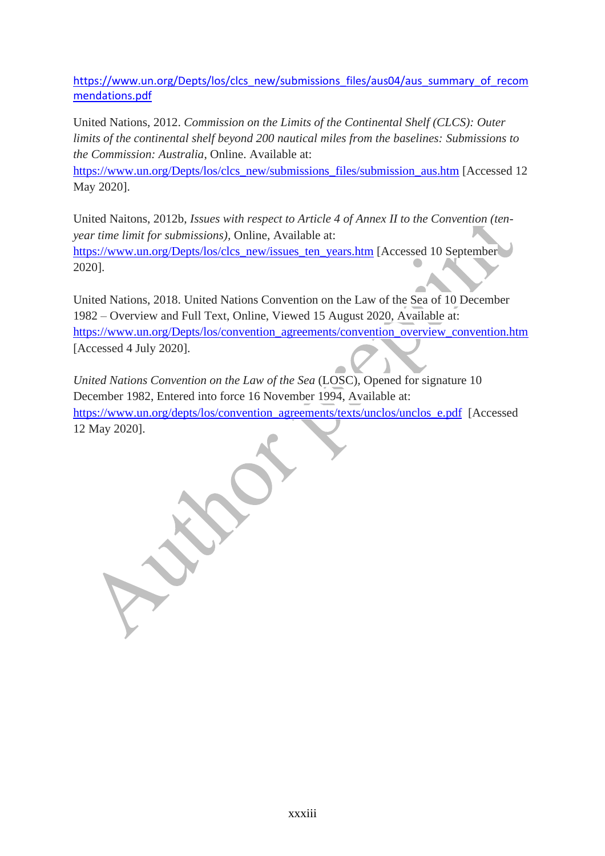[https://www.un.org/Depts/los/clcs\\_new/submissions\\_files/aus04/aus\\_summary\\_of\\_recom](https://www.un.org/Depts/los/clcs_new/submissions_files/aus04/aus_summary_of_recommendations.pdf) [mendations.pdf](https://www.un.org/Depts/los/clcs_new/submissions_files/aus04/aus_summary_of_recommendations.pdf)

United Nations, 2012. *Commission on the Limits of the Continental Shelf (CLCS): Outer limits of the continental shelf beyond 200 nautical miles from the baselines: Submissions to the Commission: Australia*, Online. Available at:

[https://www.un.org/Depts/los/clcs\\_new/submissions\\_files/submission\\_aus.htm](https://www.un.org/Depts/los/clcs_new/submissions_files/submission_aus.htm) [Accessed 12 May 2020].

United Naitons, 2012b, *Issues with respect to Article 4 of Annex II to the Convention (tenyear time limit for submissions),* Online, Available at: [https://www.un.org/Depts/los/clcs\\_new/issues\\_ten\\_years.htm](https://www.un.org/Depts/los/clcs_new/issues_ten_years.htm) [Accessed 10 September 2020].

United Nations, 2018. United Nations Convention on the Law of the Sea of 10 December 1982 – Overview and Full Text, Online, Viewed 15 August 2020, Available at: [https://www.un.org/Depts/los/convention\\_agreements/convention\\_overview\\_convention.htm](https://www.un.org/Depts/los/convention_agreements/convention_overview_convention.htm) [Accessed 4 July 2020].

*United Nations Convention on the Law of the Sea* (LOSC)*,* Opened for signature 10 December 1982, Entered into force 16 November 1994, Available at: [https://www.un.org/depts/los/convention\\_agreements/texts/unclos/unclos\\_e.pdf](https://www.un.org/depts/los/convention_agreements/texts/unclos/unclos_e.pdf) [Accessed 12 May 2020].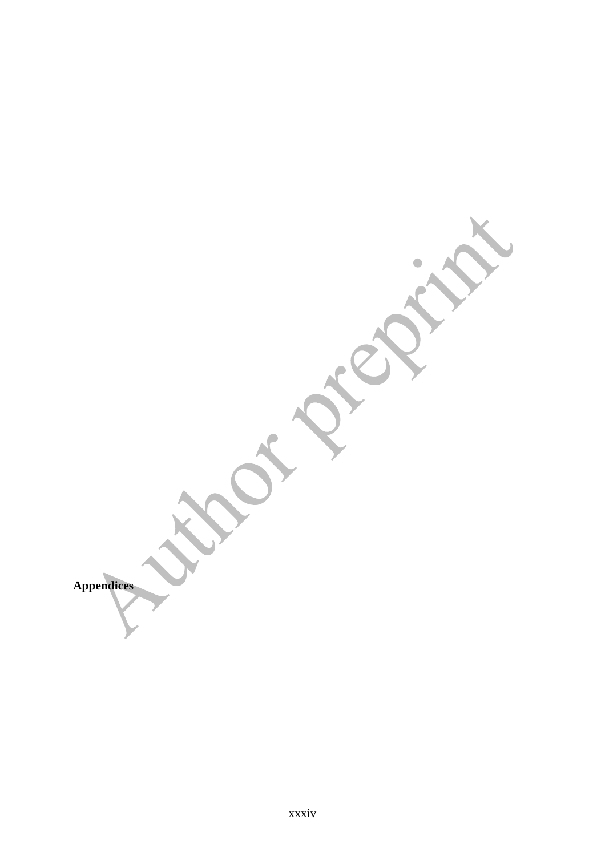**SITERED Appendices**